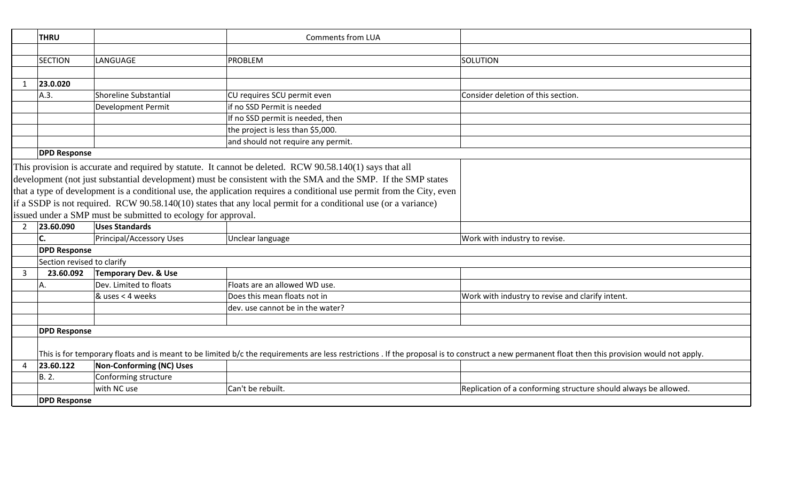|              | <b>THRU</b>                                                                                                                                                                                    | <b>Comments from LUA</b>                                      |                                                                                                                        |                                                                 |
|--------------|------------------------------------------------------------------------------------------------------------------------------------------------------------------------------------------------|---------------------------------------------------------------|------------------------------------------------------------------------------------------------------------------------|-----------------------------------------------------------------|
|              |                                                                                                                                                                                                |                                                               |                                                                                                                        |                                                                 |
|              | <b>SECTION</b>                                                                                                                                                                                 | LANGUAGE                                                      | <b>PROBLEM</b>                                                                                                         | SOLUTION                                                        |
|              |                                                                                                                                                                                                |                                                               |                                                                                                                        |                                                                 |
| $\mathbf{1}$ | 23.0.020                                                                                                                                                                                       |                                                               |                                                                                                                        |                                                                 |
|              | A.3.                                                                                                                                                                                           | <b>Shoreline Substantial</b>                                  | CU requires SCU permit even                                                                                            | Consider deletion of this section.                              |
|              |                                                                                                                                                                                                | <b>Development Permit</b>                                     | if no SSD Permit is needed                                                                                             |                                                                 |
|              |                                                                                                                                                                                                |                                                               | If no SSD permit is needed, then                                                                                       |                                                                 |
|              |                                                                                                                                                                                                |                                                               | the project is less than \$5,000.                                                                                      |                                                                 |
|              |                                                                                                                                                                                                |                                                               | and should not require any permit.                                                                                     |                                                                 |
|              | <b>DPD Response</b>                                                                                                                                                                            |                                                               |                                                                                                                        |                                                                 |
|              |                                                                                                                                                                                                |                                                               | This provision is accurate and required by statute. It cannot be deleted. RCW 90.58.140(1) says that all               |                                                                 |
|              |                                                                                                                                                                                                |                                                               | development (not just substantial development) must be consistent with the SMA and the SMP. If the SMP states          |                                                                 |
|              |                                                                                                                                                                                                |                                                               | that a type of development is a conditional use, the application requires a conditional use permit from the City, even |                                                                 |
|              |                                                                                                                                                                                                |                                                               | if a SSDP is not required. RCW 90.58.140(10) states that any local permit for a conditional use (or a variance)        |                                                                 |
|              |                                                                                                                                                                                                | issued under a SMP must be submitted to ecology for approval. |                                                                                                                        |                                                                 |
| 2            | 23.60.090                                                                                                                                                                                      | <b>Uses Standards</b>                                         |                                                                                                                        |                                                                 |
|              | C.                                                                                                                                                                                             | <b>Principal/Accessory Uses</b>                               | Unclear language                                                                                                       | Work with industry to revise.                                   |
|              | <b>DPD Response</b>                                                                                                                                                                            |                                                               |                                                                                                                        |                                                                 |
|              | Section revised to clarify                                                                                                                                                                     |                                                               |                                                                                                                        |                                                                 |
| 3            | 23.60.092                                                                                                                                                                                      | Temporary Dev. & Use                                          |                                                                                                                        |                                                                 |
|              | А.                                                                                                                                                                                             | Dev. Limited to floats                                        | Floats are an allowed WD use.                                                                                          |                                                                 |
|              |                                                                                                                                                                                                | & uses < 4 weeks                                              | Does this mean floats not in                                                                                           | Work with industry to revise and clarify intent.                |
|              |                                                                                                                                                                                                |                                                               | dev. use cannot be in the water?                                                                                       |                                                                 |
|              |                                                                                                                                                                                                |                                                               |                                                                                                                        |                                                                 |
|              | <b>DPD Response</b>                                                                                                                                                                            |                                                               |                                                                                                                        |                                                                 |
|              |                                                                                                                                                                                                |                                                               |                                                                                                                        |                                                                 |
|              | This is for temporary floats and is meant to be limited b/c the requirements are less restrictions. If the proposal is to construct a new permanent float then this provision would not apply. |                                                               |                                                                                                                        |                                                                 |
| 4            | 23.60.122                                                                                                                                                                                      | <b>Non-Conforming (NC) Uses</b>                               |                                                                                                                        |                                                                 |
|              | B. 2.                                                                                                                                                                                          | Conforming structure                                          |                                                                                                                        |                                                                 |
|              |                                                                                                                                                                                                | with NC use                                                   | Can't be rebuilt.                                                                                                      | Replication of a conforming structure should always be allowed. |
|              | <b>DPD Response</b>                                                                                                                                                                            |                                                               |                                                                                                                        |                                                                 |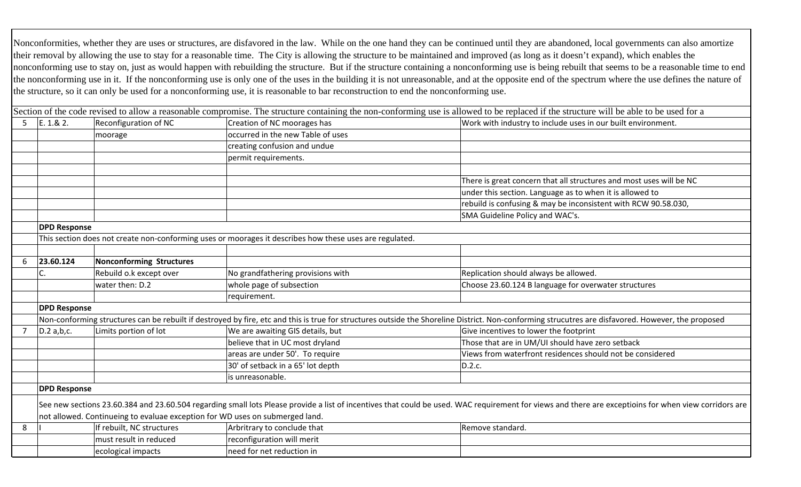Nonconformities, whether they are uses or structures, are disfavored in the law. While on the one hand they can be continued until they are abandoned, local governments can also amortize their removal by allowing the use to stay for a reasonable time. The City is allowing the structure to be maintained and improved (as long as it doesn't expand), which enables the nonconforming use to stay on, just as would happen with rebuilding the structure. But if the structure containing a nonconforming use is being rebuilt that seems to be a reasonable time to end the nonconforming use in it. If the nonconforming use is only one of the uses in the building it is not unreasonable, and at the opposite end of the spectrum where the use defines the nature of the structure, so it can only be used for a nonconforming use, it is reasonable to bar reconstruction to end the nonconforming use.

|                |                     |                                                                              |                                                                                                         | Section of the code revised to allow a reasonable compromise. The structure containing the non-conforming use is allowed to be replaced if the structure will be able to be used for a                |
|----------------|---------------------|------------------------------------------------------------------------------|---------------------------------------------------------------------------------------------------------|-------------------------------------------------------------------------------------------------------------------------------------------------------------------------------------------------------|
| 5              | E. 1.8 2.           | Reconfiguration of NC                                                        | Creation of NC moorages has                                                                             | Work with industry to include uses in our built environment.                                                                                                                                          |
|                |                     | moorage                                                                      | occurred in the new Table of uses                                                                       |                                                                                                                                                                                                       |
|                |                     |                                                                              | creating confusion and undue                                                                            |                                                                                                                                                                                                       |
|                |                     |                                                                              | permit requirements.                                                                                    |                                                                                                                                                                                                       |
|                |                     |                                                                              |                                                                                                         |                                                                                                                                                                                                       |
|                |                     |                                                                              |                                                                                                         | There is great concern that all structures and most uses will be NC                                                                                                                                   |
|                |                     |                                                                              |                                                                                                         | under this section. Language as to when it is allowed to                                                                                                                                              |
|                |                     |                                                                              |                                                                                                         | rebuild is confusing & may be inconsistent with RCW 90.58.030,                                                                                                                                        |
|                |                     |                                                                              |                                                                                                         | SMA Guideline Policy and WAC's.                                                                                                                                                                       |
|                | <b>DPD Response</b> |                                                                              |                                                                                                         |                                                                                                                                                                                                       |
|                |                     |                                                                              | This section does not create non-conforming uses or moorages it describes how these uses are regulated. |                                                                                                                                                                                                       |
|                |                     |                                                                              |                                                                                                         |                                                                                                                                                                                                       |
| 6              | 23.60.124           | <b>Nonconforming Structures</b>                                              |                                                                                                         |                                                                                                                                                                                                       |
|                |                     | Rebuild o.k except over                                                      | No grandfathering provisions with                                                                       | Replication should always be allowed.                                                                                                                                                                 |
|                |                     | water then: D.2                                                              | whole page of subsection                                                                                | Choose 23.60.124 B language for overwater structures                                                                                                                                                  |
|                |                     |                                                                              | requirement.                                                                                            |                                                                                                                                                                                                       |
|                | <b>DPD Response</b> |                                                                              |                                                                                                         |                                                                                                                                                                                                       |
|                |                     |                                                                              |                                                                                                         | Non-conforming structures can be rebuilt if destroyed by fire, etc and this is true for structures outside the Shoreline District. Non-conforming strucutres are disfavored. However, the proposed    |
| $\overline{7}$ | $D.2$ a,b,c.        | Limits portion of lot                                                        | We are awaiting GIS details, but                                                                        | Give incentives to lower the footprint                                                                                                                                                                |
|                |                     |                                                                              | believe that in UC most dryland                                                                         | Those that are in UM/UI should have zero setback                                                                                                                                                      |
|                |                     |                                                                              | areas are under 50'. To require                                                                         | Views from waterfront residences should not be considered                                                                                                                                             |
|                |                     |                                                                              | 30' of setback in a 65' lot depth                                                                       | D.2.c.                                                                                                                                                                                                |
|                |                     |                                                                              | is unreasonable.                                                                                        |                                                                                                                                                                                                       |
|                | <b>DPD Response</b> |                                                                              |                                                                                                         |                                                                                                                                                                                                       |
|                |                     |                                                                              |                                                                                                         | See new sections 23.60.384 and 23.60.504 regarding small lots Please provide a list of incentives that could be used. WAC requirement for views and there are exceptioins for when view corridors are |
|                |                     | not allowed. Continueing to evaluae exception for WD uses on submerged land. |                                                                                                         |                                                                                                                                                                                                       |
| 8              |                     | If rebuilt, NC structures                                                    | Arbritrary to conclude that                                                                             | Remove standard.                                                                                                                                                                                      |
|                |                     | must result in reduced                                                       | reconfiguration will merit                                                                              |                                                                                                                                                                                                       |
|                |                     | ecological impacts                                                           | need for net reduction in                                                                               |                                                                                                                                                                                                       |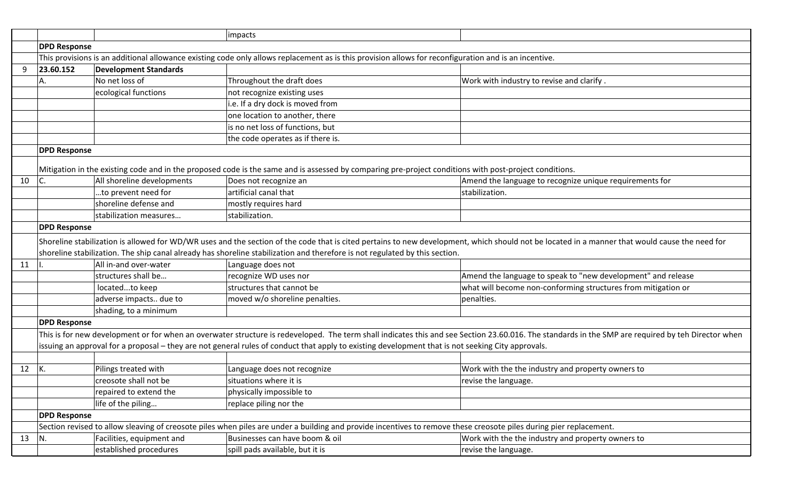|    |                                                                                                                                                       |                              | impacts                                                                                                                                                            |                                                                                                                                                                                                    |
|----|-------------------------------------------------------------------------------------------------------------------------------------------------------|------------------------------|--------------------------------------------------------------------------------------------------------------------------------------------------------------------|----------------------------------------------------------------------------------------------------------------------------------------------------------------------------------------------------|
|    | <b>DPD Response</b>                                                                                                                                   |                              |                                                                                                                                                                    |                                                                                                                                                                                                    |
|    | This provisions is an additional allowance existing code only allows replacement as is this provision allows for reconfiguration and is an incentive. |                              |                                                                                                                                                                    |                                                                                                                                                                                                    |
| 9  | 23.60.152                                                                                                                                             | <b>Development Standards</b> |                                                                                                                                                                    |                                                                                                                                                                                                    |
|    | А.                                                                                                                                                    | No net loss of               | Throughout the draft does                                                                                                                                          | Work with industry to revise and clarify.                                                                                                                                                          |
|    |                                                                                                                                                       | ecological functions         | not recognize existing uses                                                                                                                                        |                                                                                                                                                                                                    |
|    |                                                                                                                                                       |                              | i.e. If a dry dock is moved from                                                                                                                                   |                                                                                                                                                                                                    |
|    |                                                                                                                                                       |                              | one location to another, there                                                                                                                                     |                                                                                                                                                                                                    |
|    |                                                                                                                                                       |                              | is no net loss of functions, but                                                                                                                                   |                                                                                                                                                                                                    |
|    |                                                                                                                                                       |                              | the code operates as if there is.                                                                                                                                  |                                                                                                                                                                                                    |
|    | <b>DPD Response</b>                                                                                                                                   |                              |                                                                                                                                                                    |                                                                                                                                                                                                    |
|    |                                                                                                                                                       |                              |                                                                                                                                                                    |                                                                                                                                                                                                    |
|    |                                                                                                                                                       |                              | Mitigation in the existing code and in the proposed code is the same and is assessed by comparing pre-project conditions with post-project conditions.             |                                                                                                                                                                                                    |
| 10 | C.                                                                                                                                                    | All shoreline developments   | Does not recognize an                                                                                                                                              | Amend the language to recognize unique requirements for                                                                                                                                            |
|    |                                                                                                                                                       | to prevent need for          | artificial canal that                                                                                                                                              | stabilization.                                                                                                                                                                                     |
|    |                                                                                                                                                       | shoreline defense and        | mostly requires hard                                                                                                                                               |                                                                                                                                                                                                    |
|    |                                                                                                                                                       | stabilization measures       | stabilization.                                                                                                                                                     |                                                                                                                                                                                                    |
|    | <b>DPD Response</b>                                                                                                                                   |                              |                                                                                                                                                                    |                                                                                                                                                                                                    |
|    |                                                                                                                                                       |                              |                                                                                                                                                                    | Shoreline stabilization is allowed for WD/WR uses and the section of the code that is cited pertains to new development, which should not be located in a manner that would cause the need for     |
|    |                                                                                                                                                       |                              | shoreline stabilization. The ship canal already has shoreline stabilization and therefore is not regulated by this section.                                        |                                                                                                                                                                                                    |
| 11 |                                                                                                                                                       | All in-and over-water        | Language does not                                                                                                                                                  |                                                                                                                                                                                                    |
|    |                                                                                                                                                       | structures shall be          | recognize WD uses nor                                                                                                                                              | Amend the language to speak to "new development" and release                                                                                                                                       |
|    |                                                                                                                                                       | locatedto keep               | structures that cannot be                                                                                                                                          | what will become non-conforming structures from mitigation or                                                                                                                                      |
|    |                                                                                                                                                       | adverse impacts due to       | moved w/o shoreline penalties.                                                                                                                                     | penalties.                                                                                                                                                                                         |
|    |                                                                                                                                                       | shading, to a minimum        |                                                                                                                                                                    |                                                                                                                                                                                                    |
|    | <b>DPD Response</b>                                                                                                                                   |                              |                                                                                                                                                                    |                                                                                                                                                                                                    |
|    |                                                                                                                                                       |                              |                                                                                                                                                                    | This is for new development or for when an overwater structure is redeveloped. The term shall indicates this and see Section 23.60.016. The standards in the SMP are required by teh Director when |
|    |                                                                                                                                                       |                              | issuing an approval for a proposal – they are not general rules of conduct that apply to existing development that is not seeking City approvals.                  |                                                                                                                                                                                                    |
|    |                                                                                                                                                       |                              |                                                                                                                                                                    |                                                                                                                                                                                                    |
| 12 | К.                                                                                                                                                    | Pilings treated with         | Language does not recognize                                                                                                                                        | Work with the the industry and property owners to                                                                                                                                                  |
|    |                                                                                                                                                       | creosote shall not be        | situations where it is                                                                                                                                             | revise the language.                                                                                                                                                                               |
|    |                                                                                                                                                       | repaired to extend the       | physically impossible to                                                                                                                                           |                                                                                                                                                                                                    |
|    |                                                                                                                                                       | life of the piling           | replace piling nor the                                                                                                                                             |                                                                                                                                                                                                    |
|    | <b>DPD Response</b>                                                                                                                                   |                              |                                                                                                                                                                    |                                                                                                                                                                                                    |
|    |                                                                                                                                                       |                              | Section revised to allow sleaving of creosote piles when piles are under a building and provide incentives to remove these creosote piles during pier replacement. |                                                                                                                                                                                                    |
| 13 | N.                                                                                                                                                    | Facilities, equipment and    | Businesses can have boom & oil                                                                                                                                     | Work with the the industry and property owners to                                                                                                                                                  |
|    |                                                                                                                                                       | established procedures       | spill pads available, but it is                                                                                                                                    | revise the language.                                                                                                                                                                               |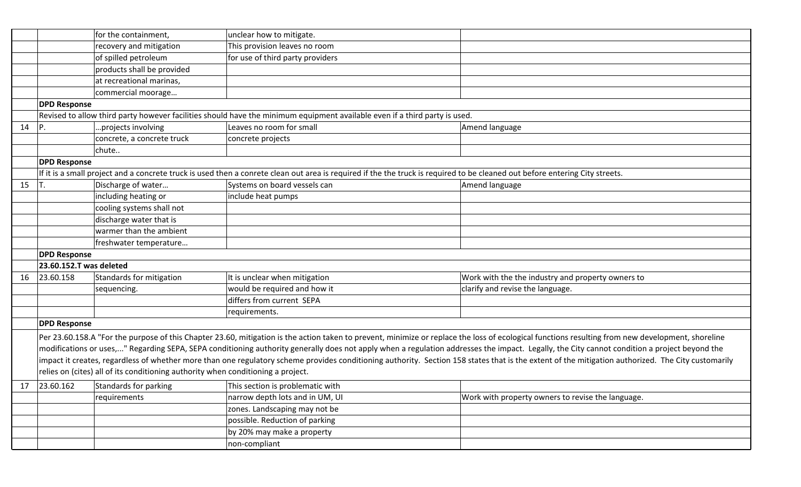|    |                         | for the containment,                                                             | unclear how to mitigate.                                                                                                                                                     |                                                                                                                                                                                                    |
|----|-------------------------|----------------------------------------------------------------------------------|------------------------------------------------------------------------------------------------------------------------------------------------------------------------------|----------------------------------------------------------------------------------------------------------------------------------------------------------------------------------------------------|
|    |                         | recovery and mitigation                                                          | This provision leaves no room                                                                                                                                                |                                                                                                                                                                                                    |
|    |                         | of spilled petroleum                                                             | for use of third party providers                                                                                                                                             |                                                                                                                                                                                                    |
|    |                         | products shall be provided                                                       |                                                                                                                                                                              |                                                                                                                                                                                                    |
|    |                         | at recreational marinas,                                                         |                                                                                                                                                                              |                                                                                                                                                                                                    |
|    |                         | commercial moorage                                                               |                                                                                                                                                                              |                                                                                                                                                                                                    |
|    | <b>DPD Response</b>     |                                                                                  |                                                                                                                                                                              |                                                                                                                                                                                                    |
|    |                         |                                                                                  | Revised to allow third party however facilities should have the minimum equipment available even if a third party is used.                                                   |                                                                                                                                                                                                    |
| 14 | P.                      | .projects involving                                                              | Leaves no room for small                                                                                                                                                     | Amend language                                                                                                                                                                                     |
|    |                         | concrete, a concrete truck                                                       | concrete projects                                                                                                                                                            |                                                                                                                                                                                                    |
|    |                         | chute                                                                            |                                                                                                                                                                              |                                                                                                                                                                                                    |
|    | <b>DPD Response</b>     |                                                                                  |                                                                                                                                                                              |                                                                                                                                                                                                    |
|    |                         |                                                                                  | If it is a small project and a concrete truck is used then a conrete clean out area is required if the the truck is required to be cleaned out before entering City streets. |                                                                                                                                                                                                    |
| 15 | T.                      | Discharge of water                                                               | Systems on board vessels can                                                                                                                                                 | Amend language                                                                                                                                                                                     |
|    |                         | including heating or                                                             | include heat pumps                                                                                                                                                           |                                                                                                                                                                                                    |
|    |                         | cooling systems shall not                                                        |                                                                                                                                                                              |                                                                                                                                                                                                    |
|    |                         | discharge water that is                                                          |                                                                                                                                                                              |                                                                                                                                                                                                    |
|    |                         | warmer than the ambient                                                          |                                                                                                                                                                              |                                                                                                                                                                                                    |
|    |                         | freshwater temperature                                                           |                                                                                                                                                                              |                                                                                                                                                                                                    |
|    | <b>DPD Response</b>     |                                                                                  |                                                                                                                                                                              |                                                                                                                                                                                                    |
|    | 23.60.152.T was deleted |                                                                                  |                                                                                                                                                                              |                                                                                                                                                                                                    |
| 16 | 23.60.158               | Standards for mitigation                                                         | It is unclear when mitigation                                                                                                                                                | Work with the the industry and property owners to                                                                                                                                                  |
|    |                         | sequencing.                                                                      | would be required and how it                                                                                                                                                 | clarify and revise the language.                                                                                                                                                                   |
|    |                         |                                                                                  | differs from current SEPA                                                                                                                                                    |                                                                                                                                                                                                    |
|    |                         |                                                                                  | requirements.                                                                                                                                                                |                                                                                                                                                                                                    |
|    | <b>DPD Response</b>     |                                                                                  |                                                                                                                                                                              |                                                                                                                                                                                                    |
|    |                         |                                                                                  |                                                                                                                                                                              | Per 23.60.158.A "For the purpose of this Chapter 23.60, mitigation is the action taken to prevent, minimize or replace the loss of ecological functions resulting from new development, shoreline  |
|    |                         |                                                                                  |                                                                                                                                                                              | modifications or uses," Regarding SEPA, SEPA conditioning authority generally does not apply when a regulation addresses the impact. Legally, the City cannot condition a project beyond the       |
|    |                         |                                                                                  |                                                                                                                                                                              | impact it creates, regardless of whether more than one regulatory scheme provides conditioning authority. Section 158 states that is the extent of the mitigation authorized. The City customarily |
|    |                         | relies on (cites) all of its conditioning authority when conditioning a project. |                                                                                                                                                                              |                                                                                                                                                                                                    |
| 17 |                         | $\vert$ 23.60.162 Standards for parking                                          | This section is problematic with                                                                                                                                             |                                                                                                                                                                                                    |
|    |                         | requirements                                                                     | narrow depth lots and in UM, UI                                                                                                                                              | Work with property owners to revise the language.                                                                                                                                                  |
|    |                         |                                                                                  | zones. Landscaping may not be                                                                                                                                                |                                                                                                                                                                                                    |
|    |                         |                                                                                  | possible. Reduction of parking                                                                                                                                               |                                                                                                                                                                                                    |
|    |                         |                                                                                  | by 20% may make a property                                                                                                                                                   |                                                                                                                                                                                                    |
|    |                         |                                                                                  | non-compliant                                                                                                                                                                |                                                                                                                                                                                                    |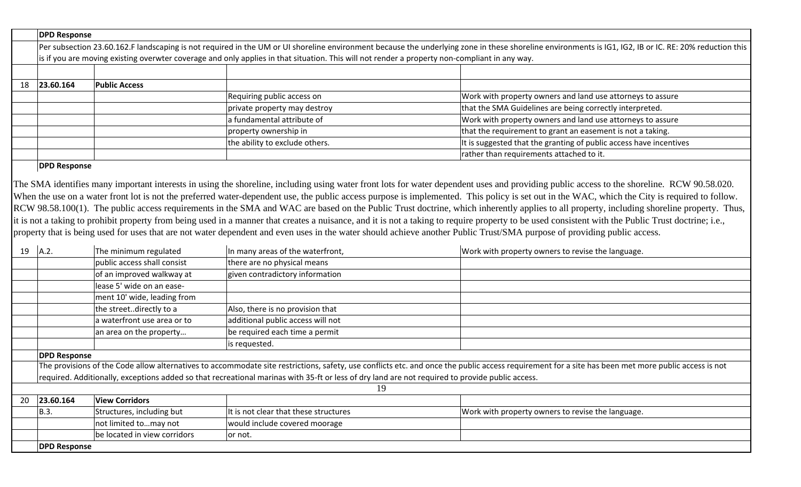|    | <b>DPD Response</b>                                                                                                                                                                                    |                      |                                                                                                                                               |                                                                    |  |
|----|--------------------------------------------------------------------------------------------------------------------------------------------------------------------------------------------------------|----------------------|-----------------------------------------------------------------------------------------------------------------------------------------------|--------------------------------------------------------------------|--|
|    | Per subsection 23.60.162.F landscaping is not required in the UM or UI shoreline environment because the underlying zone in these shoreline environments is IG1, IG2, IB or IC. RE: 20% reduction this |                      |                                                                                                                                               |                                                                    |  |
|    |                                                                                                                                                                                                        |                      | is if you are moving existing overwter coverage and only applies in that situation. This will not render a property non-compliant in any way. |                                                                    |  |
|    |                                                                                                                                                                                                        |                      |                                                                                                                                               |                                                                    |  |
| 18 | 23.60.164                                                                                                                                                                                              | <b>Public Access</b> |                                                                                                                                               |                                                                    |  |
|    |                                                                                                                                                                                                        |                      | Requiring public access on                                                                                                                    | Work with property owners and land use attorneys to assure         |  |
|    |                                                                                                                                                                                                        |                      | private property may destroy                                                                                                                  | that the SMA Guidelines are being correctly interpreted.           |  |
|    |                                                                                                                                                                                                        |                      | a fundamental attribute of                                                                                                                    | Work with property owners and land use attorneys to assure         |  |
|    |                                                                                                                                                                                                        |                      | property ownership in                                                                                                                         | that the requirement to grant an easement is not a taking.         |  |
|    |                                                                                                                                                                                                        |                      | the ability to exclude others.                                                                                                                | It is suggested that the granting of public access have incentives |  |
|    |                                                                                                                                                                                                        |                      |                                                                                                                                               | rather than requirements attached to it.                           |  |
|    |                                                                                                                                                                                                        |                      |                                                                                                                                               |                                                                    |  |

## **DPD Response**

The SMA identifies many important interests in using the shoreline, including using water front lots for water dependent uses and providing public access to the shoreline. RCW 90.58.020. When the use on a water front lot is not the preferred water-dependent use, the public access purpose is implemented. This policy is set out in the WAC, which the City is required to follow. RCW 98.58.100(1). The public access requirements in the SMA and WAC are based on the Public Trust doctrine, which inherently applies to all property, including shoreline property. Thus, it is not a taking to prohibit property from being used in a manner that creates a nuisance, and it is not a taking to require property to be used consistent with the Public Trust doctrine; i.e., property that is being used for uses that are not water dependent and even uses in the water should achieve another Public Trust/SMA purpose of providing public access.

| 19 | A.2.                                                                                                                                            | The minimum regulated        | In many areas of the waterfront,      | Work with property owners to revise the language.                                                                                                                                                   |
|----|-------------------------------------------------------------------------------------------------------------------------------------------------|------------------------------|---------------------------------------|-----------------------------------------------------------------------------------------------------------------------------------------------------------------------------------------------------|
|    |                                                                                                                                                 | public access shall consist  | there are no physical means           |                                                                                                                                                                                                     |
|    |                                                                                                                                                 | of an improved walkway at    | given contradictory information       |                                                                                                                                                                                                     |
|    |                                                                                                                                                 | lease 5' wide on an ease-    |                                       |                                                                                                                                                                                                     |
|    |                                                                                                                                                 | ment 10' wide, leading from  |                                       |                                                                                                                                                                                                     |
|    |                                                                                                                                                 | the streetdirectly to a      | Also, there is no provision that      |                                                                                                                                                                                                     |
|    |                                                                                                                                                 | a waterfront use area or to  | additional public access will not     |                                                                                                                                                                                                     |
|    |                                                                                                                                                 | an area on the property      | be required each time a permit        |                                                                                                                                                                                                     |
|    |                                                                                                                                                 |                              | is requested.                         |                                                                                                                                                                                                     |
|    | <b>DPD Response</b>                                                                                                                             |                              |                                       |                                                                                                                                                                                                     |
|    |                                                                                                                                                 |                              |                                       | The provisions of the Code allow alternatives to accommodate site restrictions, safety, use conflicts etc. and once the public access requirement for a site has been met more public access is not |
|    | required. Additionally, exceptions added so that recreational marinas with 35-ft or less of dry land are not required to provide public access. |                              |                                       |                                                                                                                                                                                                     |
|    |                                                                                                                                                 |                              | 19                                    |                                                                                                                                                                                                     |
| 20 | 23.60.164                                                                                                                                       | <b>View Corridors</b>        |                                       |                                                                                                                                                                                                     |
|    | B.3.                                                                                                                                            | Structures, including but    | It is not clear that these structures | Work with property owners to revise the language.                                                                                                                                                   |
|    |                                                                                                                                                 | not limited tomay not        | would include covered moorage         |                                                                                                                                                                                                     |
|    |                                                                                                                                                 | be located in view corridors | or not.                               |                                                                                                                                                                                                     |
|    | <b>DPD Response</b>                                                                                                                             |                              |                                       |                                                                                                                                                                                                     |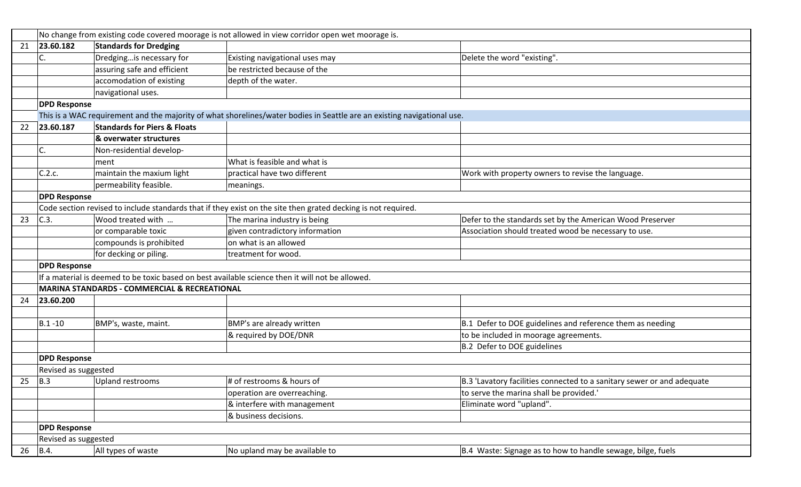|    | No change from existing code covered moorage is not allowed in view corridor open wet moorage is. |                                                         |                                                                                                                         |                                                                        |
|----|---------------------------------------------------------------------------------------------------|---------------------------------------------------------|-------------------------------------------------------------------------------------------------------------------------|------------------------------------------------------------------------|
| 21 | 23.60.182                                                                                         | <b>Standards for Dredging</b>                           |                                                                                                                         |                                                                        |
|    | C.                                                                                                | Dredgingis necessary for                                | Existing navigational uses may                                                                                          | Delete the word "existing".                                            |
|    |                                                                                                   | assuring safe and efficient                             | be restricted because of the                                                                                            |                                                                        |
|    |                                                                                                   | accomodation of existing                                | depth of the water.                                                                                                     |                                                                        |
|    |                                                                                                   | navigational uses.                                      |                                                                                                                         |                                                                        |
|    | <b>DPD Response</b>                                                                               |                                                         |                                                                                                                         |                                                                        |
|    |                                                                                                   |                                                         | This is a WAC requirement and the majority of what shorelines/water bodies in Seattle are an existing navigational use. |                                                                        |
| 22 | 23.60.187                                                                                         | <b>Standards for Piers &amp; Floats</b>                 |                                                                                                                         |                                                                        |
|    |                                                                                                   | & overwater structures                                  |                                                                                                                         |                                                                        |
|    | C.                                                                                                | Non-residential develop-                                |                                                                                                                         |                                                                        |
|    |                                                                                                   | ment                                                    | What is feasible and what is                                                                                            |                                                                        |
|    | C.2.c.                                                                                            | maintain the maxium light                               | practical have two different                                                                                            | Work with property owners to revise the language.                      |
|    |                                                                                                   | permeability feasible.                                  | meanings.                                                                                                               |                                                                        |
|    | <b>DPD Response</b>                                                                               |                                                         |                                                                                                                         |                                                                        |
|    |                                                                                                   |                                                         | Code section revised to include standards that if they exist on the site then grated decking is not required.           |                                                                        |
| 23 | C.3.                                                                                              | Wood treated with                                       | The marina industry is being                                                                                            | Defer to the standards set by the American Wood Preserver              |
|    |                                                                                                   | or comparable toxic                                     | given contradictory information                                                                                         | Association should treated wood be necessary to use.                   |
|    |                                                                                                   | compounds is prohibited                                 | on what is an allowed                                                                                                   |                                                                        |
|    |                                                                                                   | for decking or piling.                                  | treatment for wood.                                                                                                     |                                                                        |
|    | <b>DPD Response</b>                                                                               |                                                         |                                                                                                                         |                                                                        |
|    |                                                                                                   |                                                         | If a material is deemed to be toxic based on best available science then it will not be allowed.                        |                                                                        |
|    |                                                                                                   | <b>MARINA STANDARDS - COMMERCIAL &amp; RECREATIONAL</b> |                                                                                                                         |                                                                        |
| 24 | 23.60.200                                                                                         |                                                         |                                                                                                                         |                                                                        |
|    |                                                                                                   |                                                         |                                                                                                                         |                                                                        |
|    | $B.1 - 10$                                                                                        | BMP's, waste, maint.                                    | BMP's are already written                                                                                               | B.1 Defer to DOE guidelines and reference them as needing              |
|    |                                                                                                   |                                                         | & required by DOE/DNR                                                                                                   | to be included in moorage agreements.                                  |
|    |                                                                                                   |                                                         |                                                                                                                         | B.2 Defer to DOE guidelines                                            |
|    | <b>DPD Response</b>                                                                               |                                                         |                                                                                                                         |                                                                        |
|    | Revised as suggested                                                                              |                                                         |                                                                                                                         |                                                                        |
| 25 | B.3                                                                                               | <b>Upland restrooms</b>                                 | # of restrooms & hours of                                                                                               | B.3 'Lavatory facilities connected to a sanitary sewer or and adequate |
|    |                                                                                                   |                                                         | operation are overreaching.                                                                                             | to serve the marina shall be provided.'                                |
|    |                                                                                                   |                                                         | & interfere with management                                                                                             | Eliminate word "upland".                                               |
|    |                                                                                                   |                                                         | & business decisions.                                                                                                   |                                                                        |
|    | <b>DPD Response</b>                                                                               |                                                         |                                                                                                                         |                                                                        |
|    | Revised as suggested                                                                              |                                                         |                                                                                                                         |                                                                        |
| 26 | B.4.                                                                                              | All types of waste                                      | No upland may be available to                                                                                           | B.4 Waste: Signage as to how to handle sewage, bilge, fuels            |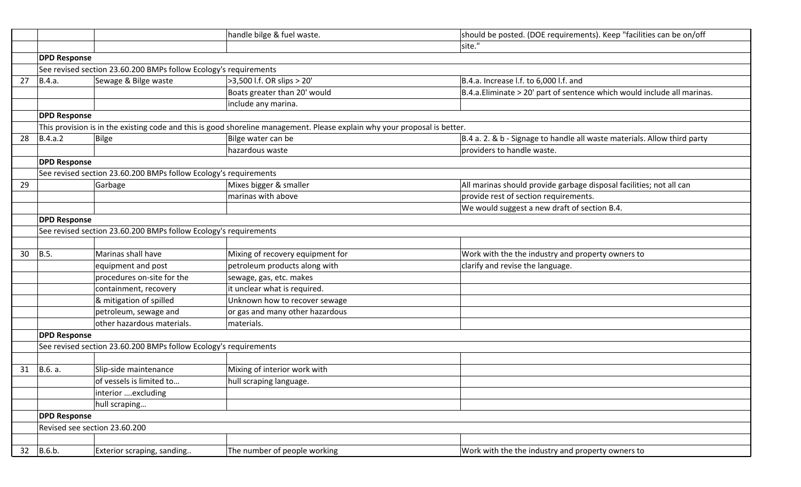|    |                               |                                                                  | handle bilge & fuel waste.                                                                                                | should be posted. (DOE requirements). Keep "facilities can be on/off     |
|----|-------------------------------|------------------------------------------------------------------|---------------------------------------------------------------------------------------------------------------------------|--------------------------------------------------------------------------|
|    |                               |                                                                  |                                                                                                                           | site."                                                                   |
|    | <b>DPD Response</b>           |                                                                  |                                                                                                                           |                                                                          |
|    |                               | See revised section 23.60.200 BMPs follow Ecology's requirements |                                                                                                                           |                                                                          |
| 27 | B.4.a.                        | Sewage & Bilge waste                                             | >3,500 l.f. OR slips > 20'                                                                                                | B.4.a. Increase I.f. to 6,000 I.f. and                                   |
|    |                               |                                                                  | Boats greater than 20' would                                                                                              | B.4.a. Eliminate > 20' part of sentence which would include all marinas. |
|    |                               |                                                                  | include any marina.                                                                                                       |                                                                          |
|    | <b>DPD Response</b>           |                                                                  |                                                                                                                           |                                                                          |
|    |                               |                                                                  | This provision is in the existing code and this is good shoreline management. Please explain why your proposal is better. |                                                                          |
| 28 | B.4.a.2                       | Bilge                                                            | Bilge water can be                                                                                                        | B.4 a. 2. & b - Signage to handle all waste materials. Allow third party |
|    |                               |                                                                  | hazardous waste                                                                                                           | providers to handle waste.                                               |
|    | <b>DPD Response</b>           |                                                                  |                                                                                                                           |                                                                          |
|    |                               | See revised section 23.60.200 BMPs follow Ecology's requirements |                                                                                                                           |                                                                          |
| 29 |                               | Garbage                                                          | Mixes bigger & smaller                                                                                                    | All marinas should provide garbage disposal facilities; not all can      |
|    |                               |                                                                  | marinas with above                                                                                                        | provide rest of section requirements.                                    |
|    |                               |                                                                  |                                                                                                                           | We would suggest a new draft of section B.4.                             |
|    | <b>DPD Response</b>           |                                                                  |                                                                                                                           |                                                                          |
|    |                               | See revised section 23.60.200 BMPs follow Ecology's requirements |                                                                                                                           |                                                                          |
|    |                               |                                                                  |                                                                                                                           |                                                                          |
| 30 | B.5.                          | Marinas shall have                                               | Mixing of recovery equipment for                                                                                          | Work with the the industry and property owners to                        |
|    |                               | equipment and post                                               | petroleum products along with                                                                                             | clarify and revise the language.                                         |
|    |                               | procedures on-site for the                                       | sewage, gas, etc. makes                                                                                                   |                                                                          |
|    |                               | containment, recovery                                            | it unclear what is required.                                                                                              |                                                                          |
|    |                               | & mitigation of spilled                                          | Unknown how to recover sewage                                                                                             |                                                                          |
|    |                               | petroleum, sewage and                                            | or gas and many other hazardous                                                                                           |                                                                          |
|    |                               | other hazardous materials.                                       | materials.                                                                                                                |                                                                          |
|    | <b>DPD Response</b>           |                                                                  |                                                                                                                           |                                                                          |
|    |                               | See revised section 23.60.200 BMPs follow Ecology's requirements |                                                                                                                           |                                                                          |
|    |                               |                                                                  |                                                                                                                           |                                                                          |
| 31 | B.6. a.                       | Slip-side maintenance                                            | Mixing of interior work with                                                                                              |                                                                          |
|    |                               | of vessels is limited to                                         | hull scraping language.                                                                                                   |                                                                          |
|    |                               | interior excluding                                               |                                                                                                                           |                                                                          |
|    |                               | hull scraping                                                    |                                                                                                                           |                                                                          |
|    | <b>DPD Response</b>           |                                                                  |                                                                                                                           |                                                                          |
|    | Revised see section 23.60.200 |                                                                  |                                                                                                                           |                                                                          |
|    |                               |                                                                  |                                                                                                                           |                                                                          |
| 32 | B.6.b.                        | Exterior scraping, sanding                                       | The number of people working                                                                                              | Work with the the industry and property owners to                        |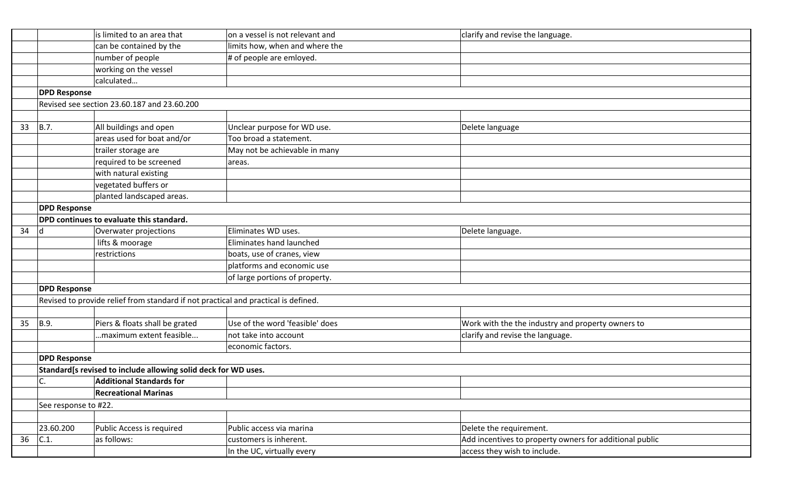|    |                      | is limited to an area that                                                         | on a vessel is not relevant and | clarify and revise the language.                        |
|----|----------------------|------------------------------------------------------------------------------------|---------------------------------|---------------------------------------------------------|
|    |                      | can be contained by the                                                            | limits how, when and where the  |                                                         |
|    |                      | number of people                                                                   | # of people are emloyed.        |                                                         |
|    |                      | working on the vessel                                                              |                                 |                                                         |
|    |                      | calculated                                                                         |                                 |                                                         |
|    | <b>DPD Response</b>  |                                                                                    |                                 |                                                         |
|    |                      | Revised see section 23.60.187 and 23.60.200                                        |                                 |                                                         |
|    |                      |                                                                                    |                                 |                                                         |
| 33 | B.7.                 | All buildings and open                                                             | Unclear purpose for WD use.     | Delete language                                         |
|    |                      | areas used for boat and/or                                                         | Too broad a statement.          |                                                         |
|    |                      | trailer storage are                                                                | May not be achievable in many   |                                                         |
|    |                      | required to be screened                                                            | areas.                          |                                                         |
|    |                      | with natural existing                                                              |                                 |                                                         |
|    |                      | vegetated buffers or                                                               |                                 |                                                         |
|    |                      | planted landscaped areas.                                                          |                                 |                                                         |
|    | <b>DPD Response</b>  |                                                                                    |                                 |                                                         |
|    |                      | DPD continues to evaluate this standard.                                           |                                 |                                                         |
| 34 | d                    | Overwater projections                                                              | Eliminates WD uses.             | Delete language.                                        |
|    |                      | lifts & moorage                                                                    | Eliminates hand launched        |                                                         |
|    |                      | restrictions                                                                       | boats, use of cranes, view      |                                                         |
|    |                      |                                                                                    | platforms and economic use      |                                                         |
|    |                      |                                                                                    | of large portions of property.  |                                                         |
|    | <b>DPD Response</b>  |                                                                                    |                                 |                                                         |
|    |                      | Revised to provide relief from standard if not practical and practical is defined. |                                 |                                                         |
|    |                      |                                                                                    |                                 |                                                         |
| 35 | B.9.                 | Piers & floats shall be grated                                                     | Use of the word 'feasible' does | Work with the the industry and property owners to       |
|    |                      | maximum extent feasible                                                            | not take into account           | clarify and revise the language.                        |
|    |                      |                                                                                    | economic factors.               |                                                         |
|    | <b>DPD Response</b>  |                                                                                    |                                 |                                                         |
|    |                      | Standard[s revised to include allowing solid deck for WD uses.                     |                                 |                                                         |
|    | C.                   | <b>Additional Standards for</b>                                                    |                                 |                                                         |
|    |                      | <b>Recreational Marinas</b>                                                        |                                 |                                                         |
|    | See response to #22. |                                                                                    |                                 |                                                         |
|    |                      |                                                                                    |                                 |                                                         |
|    | 23.60.200            | Public Access is required                                                          | Public access via marina        | Delete the requirement.                                 |
| 36 | C.1.                 | as follows:                                                                        | customers is inherent.          | Add incentives to property owners for additional public |
|    |                      |                                                                                    | In the UC, virtually every      | access they wish to include.                            |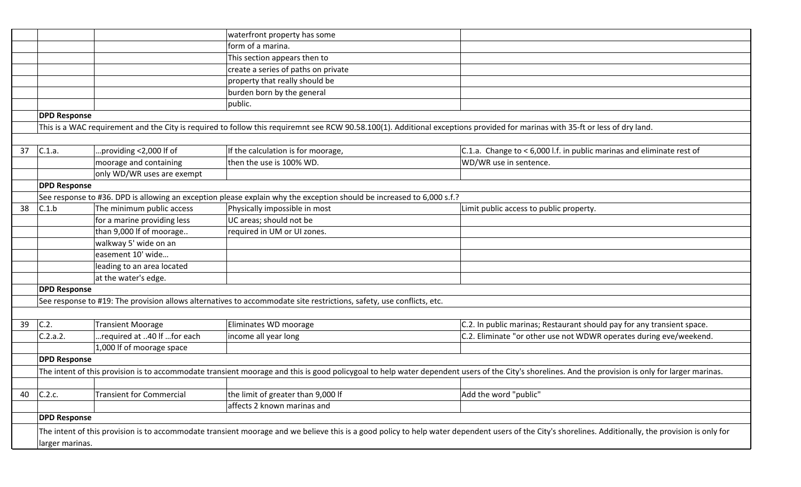|    |                     |                                 | waterfront property has some                                                                                                                                                  |                                                                                                                                                                                                       |
|----|---------------------|---------------------------------|-------------------------------------------------------------------------------------------------------------------------------------------------------------------------------|-------------------------------------------------------------------------------------------------------------------------------------------------------------------------------------------------------|
|    |                     |                                 | form of a marina.                                                                                                                                                             |                                                                                                                                                                                                       |
|    |                     |                                 | This section appears then to                                                                                                                                                  |                                                                                                                                                                                                       |
|    |                     |                                 | create a series of paths on private                                                                                                                                           |                                                                                                                                                                                                       |
|    |                     |                                 | property that really should be                                                                                                                                                |                                                                                                                                                                                                       |
|    |                     |                                 | burden born by the general                                                                                                                                                    |                                                                                                                                                                                                       |
|    |                     |                                 | public.                                                                                                                                                                       |                                                                                                                                                                                                       |
|    | <b>DPD Response</b> |                                 |                                                                                                                                                                               |                                                                                                                                                                                                       |
|    |                     |                                 | This is a WAC requirement and the City is required to follow this requiremnt see RCW 90.58.100(1). Additional exceptions provided for marinas with 35-ft or less of dry land. |                                                                                                                                                                                                       |
|    |                     |                                 |                                                                                                                                                                               |                                                                                                                                                                                                       |
| 37 | C.1.a.              | .providing <2,000 If of         | If the calculation is for moorage,                                                                                                                                            | C.1.a. Change to $<$ 6,000 l.f. in public marinas and eliminate rest of                                                                                                                               |
|    |                     | moorage and containing          | then the use is 100% WD.                                                                                                                                                      | WD/WR use in sentence.                                                                                                                                                                                |
|    |                     | only WD/WR uses are exempt      |                                                                                                                                                                               |                                                                                                                                                                                                       |
|    | <b>DPD Response</b> |                                 |                                                                                                                                                                               |                                                                                                                                                                                                       |
|    |                     |                                 | See response to #36. DPD is allowing an exception please explain why the exception should be increased to 6,000 s.f.?                                                         |                                                                                                                                                                                                       |
| 38 | C.1.b               | The minimum public access       | Physically impossible in most                                                                                                                                                 | Limit public access to public property.                                                                                                                                                               |
|    |                     | for a marine providing less     | UC areas; should not be                                                                                                                                                       |                                                                                                                                                                                                       |
|    |                     | than 9,000 If of moorage        | required in UM or UI zones.                                                                                                                                                   |                                                                                                                                                                                                       |
|    |                     | walkway 5' wide on an           |                                                                                                                                                                               |                                                                                                                                                                                                       |
|    |                     | easement 10' wide               |                                                                                                                                                                               |                                                                                                                                                                                                       |
|    |                     | leading to an area located      |                                                                                                                                                                               |                                                                                                                                                                                                       |
|    |                     | at the water's edge.            |                                                                                                                                                                               |                                                                                                                                                                                                       |
|    | <b>DPD Response</b> |                                 |                                                                                                                                                                               |                                                                                                                                                                                                       |
|    |                     |                                 | See response to #19: The provision allows alternatives to accommodate site restrictions, safety, use conflicts, etc.                                                          |                                                                                                                                                                                                       |
|    |                     |                                 |                                                                                                                                                                               |                                                                                                                                                                                                       |
| 39 | C.2.                | <b>Transient Moorage</b>        | Eliminates WD moorage                                                                                                                                                         | C.2. In public marinas; Restaurant should pay for any transient space.                                                                                                                                |
|    | C.2.a.2.            | required at 40 If for each      | income all year long                                                                                                                                                          | C.2. Eliminate "or other use not WDWR operates during eve/weekend.                                                                                                                                    |
|    |                     | 1,000 If of moorage space       |                                                                                                                                                                               |                                                                                                                                                                                                       |
|    | <b>DPD Response</b> |                                 |                                                                                                                                                                               |                                                                                                                                                                                                       |
|    |                     |                                 |                                                                                                                                                                               | The intent of this provision is to accommodate transient moorage and this is good policygoal to help water dependent users of the City's shorelines. And the provision is only for larger marinas.    |
|    |                     |                                 |                                                                                                                                                                               |                                                                                                                                                                                                       |
| 40 | C.2.c.              | <b>Transient for Commercial</b> | the limit of greater than 9,000 If                                                                                                                                            | Add the word "public"                                                                                                                                                                                 |
|    |                     |                                 | affects 2 known marinas and                                                                                                                                                   |                                                                                                                                                                                                       |
|    | <b>DPD Response</b> |                                 |                                                                                                                                                                               |                                                                                                                                                                                                       |
|    |                     |                                 |                                                                                                                                                                               | The intent of this provision is to accommodate transient moorage and we believe this is a good policy to help water dependent users of the City's shorelines. Additionally, the provision is only for |
|    | larger marinas.     |                                 |                                                                                                                                                                               |                                                                                                                                                                                                       |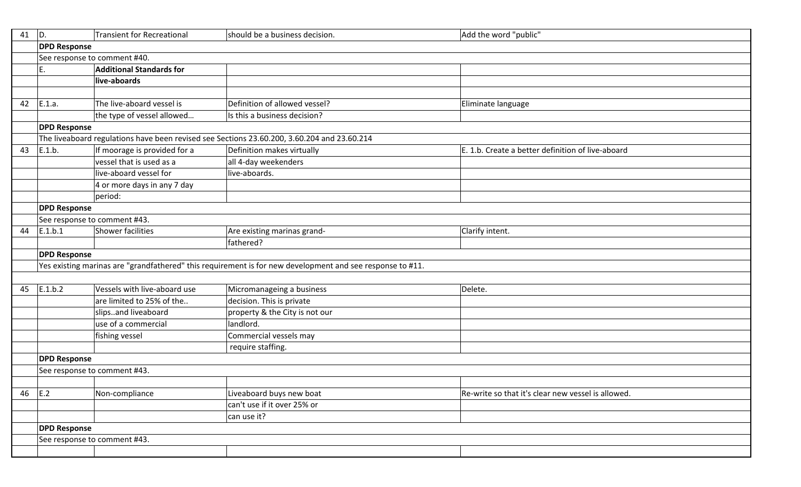| 41 | ID.                          | <b>Transient for Recreational</b> | should be a business decision.                                                                            | Add the word "public"                              |  |
|----|------------------------------|-----------------------------------|-----------------------------------------------------------------------------------------------------------|----------------------------------------------------|--|
|    | <b>DPD Response</b>          |                                   |                                                                                                           |                                                    |  |
|    | See response to comment #40. |                                   |                                                                                                           |                                                    |  |
|    | E.                           | <b>Additional Standards for</b>   |                                                                                                           |                                                    |  |
|    |                              | live-aboards                      |                                                                                                           |                                                    |  |
|    |                              |                                   |                                                                                                           |                                                    |  |
| 42 | E.1.a.                       | The live-aboard vessel is         | Definition of allowed vessel?                                                                             | Eliminate language                                 |  |
|    |                              | the type of vessel allowed        | Is this a business decision?                                                                              |                                                    |  |
|    | <b>DPD Response</b>          |                                   |                                                                                                           |                                                    |  |
|    |                              |                                   | The liveaboard regulations have been revised see Sections 23.60.200, 3.60.204 and 23.60.214               |                                                    |  |
| 43 | E.1.b.                       | If moorage is provided for a      | Definition makes virtually                                                                                | E. 1.b. Create a better definition of live-aboard  |  |
|    |                              | vessel that is used as a          | all 4-day weekenders                                                                                      |                                                    |  |
|    |                              | live-aboard vessel for            | live-aboards.                                                                                             |                                                    |  |
|    |                              | 4 or more days in any 7 day       |                                                                                                           |                                                    |  |
|    |                              | period:                           |                                                                                                           |                                                    |  |
|    | <b>DPD Response</b>          |                                   |                                                                                                           |                                                    |  |
|    |                              | See response to comment #43.      |                                                                                                           |                                                    |  |
| 44 | E.1.b.1                      | <b>Shower facilities</b>          | Are existing marinas grand-                                                                               | Clarify intent.                                    |  |
|    |                              |                                   | fathered?                                                                                                 |                                                    |  |
|    | <b>DPD Response</b>          |                                   |                                                                                                           |                                                    |  |
|    |                              |                                   | Yes existing marinas are "grandfathered" this requirement is for new development and see response to #11. |                                                    |  |
|    |                              |                                   |                                                                                                           |                                                    |  |
| 45 | E.1.b.2                      | Vessels with live-aboard use      | Micromanageing a business                                                                                 | Delete.                                            |  |
|    |                              | are limited to 25% of the         | decision. This is private                                                                                 |                                                    |  |
|    |                              | slipsand liveaboard               | property & the City is not our                                                                            |                                                    |  |
|    |                              | use of a commercial               | landlord.                                                                                                 |                                                    |  |
|    |                              | fishing vessel                    | Commercial vessels may                                                                                    |                                                    |  |
|    |                              |                                   | require staffing.                                                                                         |                                                    |  |
|    | <b>DPD Response</b>          |                                   |                                                                                                           |                                                    |  |
|    |                              | See response to comment #43.      |                                                                                                           |                                                    |  |
|    |                              |                                   |                                                                                                           |                                                    |  |
| 46 | E.2                          | Non-compliance                    | Liveaboard buys new boat                                                                                  | Re-write so that it's clear new vessel is allowed. |  |
|    |                              |                                   | can't use if it over 25% or                                                                               |                                                    |  |
|    |                              |                                   | can use it?                                                                                               |                                                    |  |
|    | <b>DPD Response</b>          |                                   |                                                                                                           |                                                    |  |
|    |                              | See response to comment #43.      |                                                                                                           |                                                    |  |
|    |                              |                                   |                                                                                                           |                                                    |  |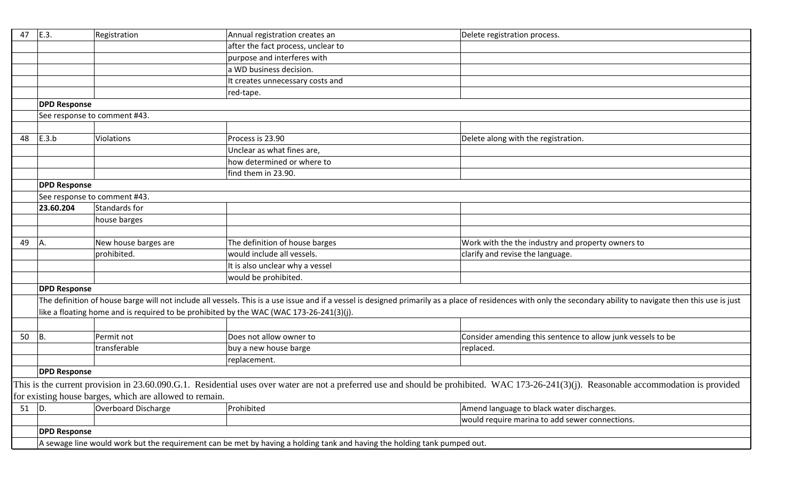| 47       | E.3.                                                                                                                     | Registration                                                                            | Annual registration creates an     | Delete registration process.                                                                                                                                                                                     |
|----------|--------------------------------------------------------------------------------------------------------------------------|-----------------------------------------------------------------------------------------|------------------------------------|------------------------------------------------------------------------------------------------------------------------------------------------------------------------------------------------------------------|
|          |                                                                                                                          |                                                                                         | after the fact process, unclear to |                                                                                                                                                                                                                  |
|          |                                                                                                                          |                                                                                         | purpose and interferes with        |                                                                                                                                                                                                                  |
|          |                                                                                                                          |                                                                                         | a WD business decision.            |                                                                                                                                                                                                                  |
|          |                                                                                                                          |                                                                                         | It creates unnecessary costs and   |                                                                                                                                                                                                                  |
|          |                                                                                                                          |                                                                                         | red-tape.                          |                                                                                                                                                                                                                  |
|          | <b>DPD Response</b>                                                                                                      |                                                                                         |                                    |                                                                                                                                                                                                                  |
|          |                                                                                                                          | See response to comment #43.                                                            |                                    |                                                                                                                                                                                                                  |
|          |                                                                                                                          |                                                                                         |                                    |                                                                                                                                                                                                                  |
| 48       | E.3.b                                                                                                                    | Violations                                                                              | Process is 23.90                   | Delete along with the registration.                                                                                                                                                                              |
|          |                                                                                                                          |                                                                                         | Unclear as what fines are,         |                                                                                                                                                                                                                  |
|          |                                                                                                                          |                                                                                         | how determined or where to         |                                                                                                                                                                                                                  |
|          |                                                                                                                          |                                                                                         | find them in 23.90.                |                                                                                                                                                                                                                  |
|          | <b>DPD Response</b>                                                                                                      |                                                                                         |                                    |                                                                                                                                                                                                                  |
|          |                                                                                                                          | See response to comment #43.                                                            |                                    |                                                                                                                                                                                                                  |
|          | 23.60.204                                                                                                                | Standards for                                                                           |                                    |                                                                                                                                                                                                                  |
|          |                                                                                                                          | house barges                                                                            |                                    |                                                                                                                                                                                                                  |
|          |                                                                                                                          |                                                                                         |                                    |                                                                                                                                                                                                                  |
| 49       | IA.                                                                                                                      | New house barges are                                                                    | The definition of house barges     | Work with the the industry and property owners to                                                                                                                                                                |
|          |                                                                                                                          | prohibited.                                                                             | would include all vessels.         | clarify and revise the language.                                                                                                                                                                                 |
|          |                                                                                                                          |                                                                                         | It is also unclear why a vessel    |                                                                                                                                                                                                                  |
|          |                                                                                                                          |                                                                                         | would be prohibited.               |                                                                                                                                                                                                                  |
|          | <b>DPD Response</b>                                                                                                      |                                                                                         |                                    |                                                                                                                                                                                                                  |
|          |                                                                                                                          |                                                                                         |                                    | The definition of house barge will not include all vessels. This is a use issue and if a vessel is designed primarily as a place of residences with only the secondary ability to navigate then this use is just |
|          |                                                                                                                          | like a floating home and is required to be prohibited by the WAC (WAC 173-26-241(3)(j). |                                    |                                                                                                                                                                                                                  |
|          |                                                                                                                          |                                                                                         |                                    |                                                                                                                                                                                                                  |
| 50       | B.                                                                                                                       | Permit not                                                                              | Does not allow owner to            | Consider amending this sentence to allow junk vessels to be                                                                                                                                                      |
|          |                                                                                                                          | transferable                                                                            | buy a new house barge              | replaced.                                                                                                                                                                                                        |
|          |                                                                                                                          |                                                                                         | replacement.                       |                                                                                                                                                                                                                  |
|          | <b>DPD Response</b>                                                                                                      |                                                                                         |                                    |                                                                                                                                                                                                                  |
|          |                                                                                                                          |                                                                                         |                                    | This is the current provision in 23.60.090.G.1. Residential uses over water are not a preferred use and should be prohibited. WAC 173-26-241(3)(j). Reasonable accommodation is provided                         |
|          |                                                                                                                          | for existing house barges, which are allowed to remain.                                 |                                    |                                                                                                                                                                                                                  |
| 51 $ D.$ |                                                                                                                          | <b>Overboard Discharge</b>                                                              | Prohibited                         | Amend language to black water discharges.                                                                                                                                                                        |
|          |                                                                                                                          |                                                                                         |                                    | would require marina to add sewer connections.                                                                                                                                                                   |
|          | <b>DPD Response</b>                                                                                                      |                                                                                         |                                    |                                                                                                                                                                                                                  |
|          | A sewage line would work but the requirement can be met by having a holding tank and having the holding tank pumped out. |                                                                                         |                                    |                                                                                                                                                                                                                  |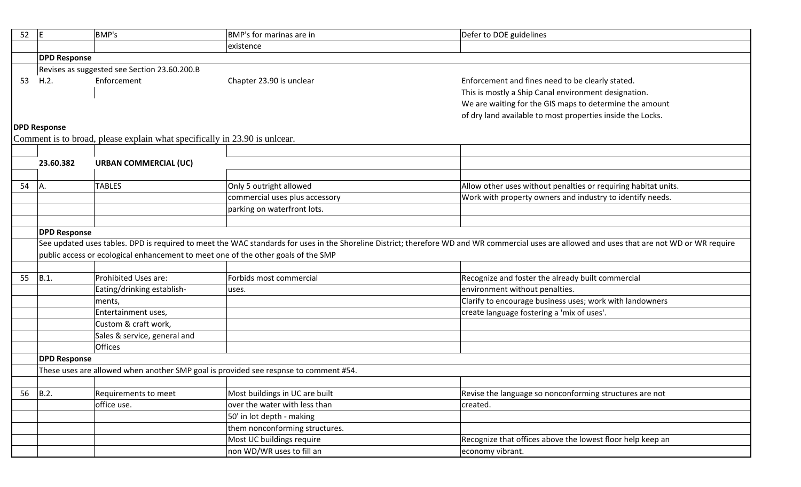| 52 | E                                                                                                                                                                                             | BMP's                                                                     | BMP's for marinas are in                                                             | Defer to DOE guidelines                                        |  |  |
|----|-----------------------------------------------------------------------------------------------------------------------------------------------------------------------------------------------|---------------------------------------------------------------------------|--------------------------------------------------------------------------------------|----------------------------------------------------------------|--|--|
|    |                                                                                                                                                                                               |                                                                           | existence                                                                            |                                                                |  |  |
|    | <b>DPD Response</b>                                                                                                                                                                           |                                                                           |                                                                                      |                                                                |  |  |
|    | Revises as suggested see Section 23.60.200.B                                                                                                                                                  |                                                                           |                                                                                      |                                                                |  |  |
| 53 | H.2.                                                                                                                                                                                          | Enforcement                                                               | Chapter 23.90 is unclear                                                             | Enforcement and fines need to be clearly stated.               |  |  |
|    |                                                                                                                                                                                               |                                                                           |                                                                                      | This is mostly a Ship Canal environment designation.           |  |  |
|    |                                                                                                                                                                                               |                                                                           |                                                                                      | We are waiting for the GIS maps to determine the amount        |  |  |
|    |                                                                                                                                                                                               |                                                                           |                                                                                      | of dry land available to most properties inside the Locks.     |  |  |
|    | <b>DPD Response</b>                                                                                                                                                                           |                                                                           |                                                                                      |                                                                |  |  |
|    |                                                                                                                                                                                               | Comment is to broad, please explain what specifically in 23.90 is unlear. |                                                                                      |                                                                |  |  |
|    |                                                                                                                                                                                               |                                                                           |                                                                                      |                                                                |  |  |
|    | 23.60.382                                                                                                                                                                                     | <b>URBAN COMMERCIAL (UC)</b>                                              |                                                                                      |                                                                |  |  |
|    |                                                                                                                                                                                               |                                                                           |                                                                                      |                                                                |  |  |
| 54 | A.                                                                                                                                                                                            | <b>TABLES</b>                                                             | Only 5 outright allowed                                                              | Allow other uses without penalties or requiring habitat units. |  |  |
|    |                                                                                                                                                                                               |                                                                           | commercial uses plus accessory                                                       | Work with property owners and industry to identify needs.      |  |  |
|    |                                                                                                                                                                                               |                                                                           | parking on waterfront lots.                                                          |                                                                |  |  |
|    |                                                                                                                                                                                               |                                                                           |                                                                                      |                                                                |  |  |
|    | <b>DPD Response</b>                                                                                                                                                                           |                                                                           |                                                                                      |                                                                |  |  |
|    | See updated uses tables. DPD is required to meet the WAC standards for uses in the Shoreline District; therefore WD and WR commercial uses are allowed and uses that are not WD or WR require |                                                                           |                                                                                      |                                                                |  |  |
|    |                                                                                                                                                                                               |                                                                           | public access or ecological enhancement to meet one of the other goals of the SMP    |                                                                |  |  |
|    |                                                                                                                                                                                               |                                                                           |                                                                                      |                                                                |  |  |
| 55 | $B.1$ .                                                                                                                                                                                       | Prohibited Uses are:                                                      | Forbids most commercial                                                              | Recognize and foster the already built commercial              |  |  |
|    |                                                                                                                                                                                               | Eating/drinking establish-                                                | uses.                                                                                | environment without penalties.                                 |  |  |
|    |                                                                                                                                                                                               | ments,                                                                    |                                                                                      | Clarify to encourage business uses; work with landowners       |  |  |
|    |                                                                                                                                                                                               | Entertainment uses,                                                       |                                                                                      | create language fostering a 'mix of uses'.                     |  |  |
|    |                                                                                                                                                                                               | Custom & craft work,                                                      |                                                                                      |                                                                |  |  |
|    |                                                                                                                                                                                               | Sales & service, general and                                              |                                                                                      |                                                                |  |  |
|    |                                                                                                                                                                                               | <b>Offices</b>                                                            |                                                                                      |                                                                |  |  |
|    | <b>DPD Response</b>                                                                                                                                                                           |                                                                           |                                                                                      |                                                                |  |  |
|    |                                                                                                                                                                                               |                                                                           | These uses are allowed when another SMP goal is provided see respnse to comment #54. |                                                                |  |  |
|    |                                                                                                                                                                                               |                                                                           |                                                                                      |                                                                |  |  |
| 56 | B.2.                                                                                                                                                                                          | Requirements to meet                                                      | Most buildings in UC are built                                                       | Revise the language so nonconforming structures are not        |  |  |
|    |                                                                                                                                                                                               | office use.                                                               | over the water with less than                                                        | created.                                                       |  |  |
|    |                                                                                                                                                                                               |                                                                           | 50' in lot depth - making                                                            |                                                                |  |  |
|    |                                                                                                                                                                                               |                                                                           | them nonconforming structures.                                                       |                                                                |  |  |
|    |                                                                                                                                                                                               |                                                                           | Most UC buildings require                                                            | Recognize that offices above the lowest floor help keep an     |  |  |
|    |                                                                                                                                                                                               |                                                                           | non WD/WR uses to fill an                                                            | economy vibrant.                                               |  |  |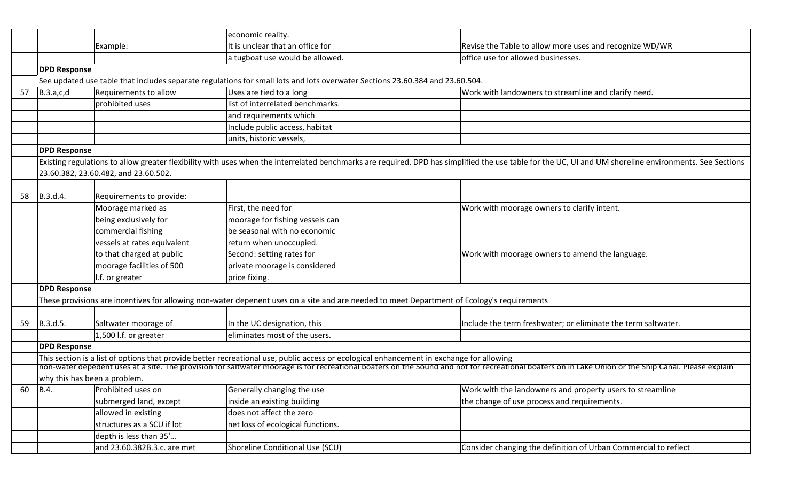|    |                     |                                      | economic reality.                                                                                                                          |                                                                                                                                                                                                        |
|----|---------------------|--------------------------------------|--------------------------------------------------------------------------------------------------------------------------------------------|--------------------------------------------------------------------------------------------------------------------------------------------------------------------------------------------------------|
|    |                     | Example:                             | It is unclear that an office for                                                                                                           | Revise the Table to allow more uses and recognize WD/WR                                                                                                                                                |
|    |                     |                                      | a tugboat use would be allowed.                                                                                                            | office use for allowed businesses.                                                                                                                                                                     |
|    | <b>DPD Response</b> |                                      |                                                                                                                                            |                                                                                                                                                                                                        |
|    |                     |                                      | See updated use table that includes separate regulations for small lots and lots overwater Sections 23.60.384 and 23.60.504.               |                                                                                                                                                                                                        |
| 57 | B.3.a,c,d           | Requirements to allow                | Uses are tied to a long                                                                                                                    | Work with landowners to streamline and clarify need.                                                                                                                                                   |
|    |                     | prohibited uses                      | list of interrelated benchmarks.                                                                                                           |                                                                                                                                                                                                        |
|    |                     |                                      | and requirements which                                                                                                                     |                                                                                                                                                                                                        |
|    |                     |                                      | Include public access, habitat                                                                                                             |                                                                                                                                                                                                        |
|    |                     |                                      | units, historic vessels,                                                                                                                   |                                                                                                                                                                                                        |
|    | <b>DPD Response</b> |                                      |                                                                                                                                            |                                                                                                                                                                                                        |
|    |                     |                                      |                                                                                                                                            | Existing regulations to allow greater flexibility with uses when the interrelated benchmarks are required. DPD has simplified the use table for the UC, UI and UM shoreline environments. See Sections |
|    |                     | 23.60.382, 23.60.482, and 23.60.502. |                                                                                                                                            |                                                                                                                                                                                                        |
|    |                     |                                      |                                                                                                                                            |                                                                                                                                                                                                        |
| 58 | B.3.d.4.            | Requirements to provide:             |                                                                                                                                            |                                                                                                                                                                                                        |
|    |                     | Moorage marked as                    | First, the need for                                                                                                                        | Work with moorage owners to clarify intent.                                                                                                                                                            |
|    |                     | being exclusively for                | moorage for fishing vessels can                                                                                                            |                                                                                                                                                                                                        |
|    |                     | commercial fishing                   | be seasonal with no economic                                                                                                               |                                                                                                                                                                                                        |
|    |                     | vessels at rates equivalent          | return when unoccupied.                                                                                                                    |                                                                                                                                                                                                        |
|    |                     | to that charged at public            | Second: setting rates for                                                                                                                  | Work with moorage owners to amend the language.                                                                                                                                                        |
|    |                     | moorage facilities of 500            | private moorage is considered                                                                                                              |                                                                                                                                                                                                        |
|    |                     | I.f. or greater                      | price fixing.                                                                                                                              |                                                                                                                                                                                                        |
|    | <b>DPD Response</b> |                                      |                                                                                                                                            |                                                                                                                                                                                                        |
|    |                     |                                      | These provisions are incentives for allowing non-water depenent uses on a site and are needed to meet Department of Ecology's requirements |                                                                                                                                                                                                        |
|    |                     |                                      |                                                                                                                                            |                                                                                                                                                                                                        |
| 59 | B.3.d.5.            | Saltwater moorage of                 | In the UC designation, this                                                                                                                | Include the term freshwater; or eliminate the term saltwater.                                                                                                                                          |
|    |                     | 1,500 l.f. or greater                | eliminates most of the users.                                                                                                              |                                                                                                                                                                                                        |
|    | <b>DPD Response</b> |                                      |                                                                                                                                            |                                                                                                                                                                                                        |
|    |                     |                                      | This section is a list of options that provide better recreational use, public access or ecological enhancement in exchange for allowing   |                                                                                                                                                                                                        |
|    |                     |                                      |                                                                                                                                            | non-water depedent uses at a site. The provision for saltwater moorage is for recreational boaters on the Sound and not for recreational boaters on in Lake Union or the Ship Canal. Please explain    |
|    |                     | why this has been a problem.         |                                                                                                                                            |                                                                                                                                                                                                        |
| 60 | $\vert$ B.4.        | Prohibited uses on                   | Generally changing the use                                                                                                                 | Work with the landowners and property users to streamline                                                                                                                                              |
|    |                     | submerged land, except               | inside an existing building                                                                                                                | the change of use process and requirements.                                                                                                                                                            |
|    |                     | allowed in existing                  | does not affect the zero                                                                                                                   |                                                                                                                                                                                                        |
|    |                     | structures as a SCU if lot           | net loss of ecological functions.                                                                                                          |                                                                                                                                                                                                        |
|    |                     | depth is less than 35'               |                                                                                                                                            |                                                                                                                                                                                                        |
|    |                     | and 23.60.382B.3.c. are met          | Shoreline Conditional Use (SCU)                                                                                                            | Consider changing the definition of Urban Commercial to reflect                                                                                                                                        |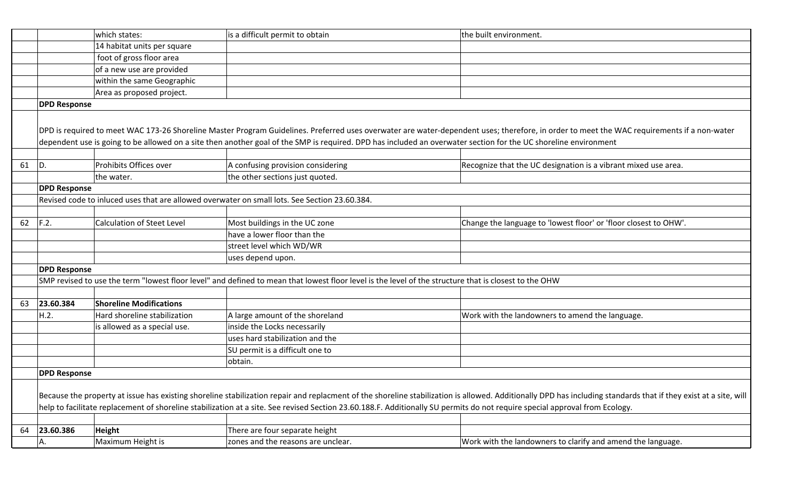|    |                     | which states:                     | is a difficult permit to obtain                                                                                                                                             | the built environment.                                                                                                                                                                                          |
|----|---------------------|-----------------------------------|-----------------------------------------------------------------------------------------------------------------------------------------------------------------------------|-----------------------------------------------------------------------------------------------------------------------------------------------------------------------------------------------------------------|
|    |                     | 14 habitat units per square       |                                                                                                                                                                             |                                                                                                                                                                                                                 |
|    |                     | foot of gross floor area          |                                                                                                                                                                             |                                                                                                                                                                                                                 |
|    |                     | of a new use are provided         |                                                                                                                                                                             |                                                                                                                                                                                                                 |
|    |                     | within the same Geographic        |                                                                                                                                                                             |                                                                                                                                                                                                                 |
|    |                     | Area as proposed project.         |                                                                                                                                                                             |                                                                                                                                                                                                                 |
|    | <b>DPD Response</b> |                                   |                                                                                                                                                                             |                                                                                                                                                                                                                 |
|    |                     |                                   |                                                                                                                                                                             |                                                                                                                                                                                                                 |
|    |                     |                                   |                                                                                                                                                                             | DPD is required to meet WAC 173-26 Shoreline Master Program Guidelines. Preferred uses overwater are water-dependent uses; therefore, in order to meet the WAC requirements if a non-water                      |
|    |                     |                                   | dependent use is going to be allowed on a site then another goal of the SMP is required. DPD has included an overwater section for the UC shoreline environment             |                                                                                                                                                                                                                 |
|    |                     |                                   |                                                                                                                                                                             |                                                                                                                                                                                                                 |
| 61 | D.                  | Prohibits Offices over            | A confusing provision considering                                                                                                                                           | Recognize that the UC designation is a vibrant mixed use area.                                                                                                                                                  |
|    |                     | the water.                        | the other sections just quoted.                                                                                                                                             |                                                                                                                                                                                                                 |
|    | <b>DPD Response</b> |                                   |                                                                                                                                                                             |                                                                                                                                                                                                                 |
|    |                     |                                   | Revised code to inluced uses that are allowed overwater on small lots. See Section 23.60.384.                                                                               |                                                                                                                                                                                                                 |
|    |                     |                                   |                                                                                                                                                                             |                                                                                                                                                                                                                 |
| 62 | F.2.                | <b>Calculation of Steet Level</b> | Most buildings in the UC zone                                                                                                                                               | Change the language to 'lowest floor' or 'floor closest to OHW'.                                                                                                                                                |
|    |                     |                                   | have a lower floor than the                                                                                                                                                 |                                                                                                                                                                                                                 |
|    |                     |                                   | street level which WD/WR                                                                                                                                                    |                                                                                                                                                                                                                 |
|    |                     |                                   | uses depend upon.                                                                                                                                                           |                                                                                                                                                                                                                 |
|    | <b>DPD Response</b> |                                   |                                                                                                                                                                             |                                                                                                                                                                                                                 |
|    |                     |                                   | SMP revised to use the term "lowest floor level" and defined to mean that lowest floor level is the level of the structure that is closest to the OHW                       |                                                                                                                                                                                                                 |
|    |                     |                                   |                                                                                                                                                                             |                                                                                                                                                                                                                 |
| 63 | 23.60.384           | <b>Shoreline Modifications</b>    |                                                                                                                                                                             |                                                                                                                                                                                                                 |
|    | H.2.                | Hard shoreline stabilization      | A large amount of the shoreland                                                                                                                                             | Work with the landowners to amend the language.                                                                                                                                                                 |
|    |                     | is allowed as a special use.      | inside the Locks necessarily                                                                                                                                                |                                                                                                                                                                                                                 |
|    |                     |                                   | uses hard stabilization and the                                                                                                                                             |                                                                                                                                                                                                                 |
|    |                     |                                   | SU permit is a difficult one to                                                                                                                                             |                                                                                                                                                                                                                 |
|    |                     |                                   | obtain.                                                                                                                                                                     |                                                                                                                                                                                                                 |
|    | <b>DPD Response</b> |                                   |                                                                                                                                                                             |                                                                                                                                                                                                                 |
|    |                     |                                   |                                                                                                                                                                             |                                                                                                                                                                                                                 |
|    |                     |                                   |                                                                                                                                                                             | Because the property at issue has existing shoreline stabilization repair and replacment of the shoreline stabilization is allowed. Additionally DPD has including standards that if they exist at a site, will |
|    |                     |                                   | help to facilitate replacement of shoreline stabilization at a site. See revised Section 23.60.188.F. Additionally SU permits do not require special approval from Ecology. |                                                                                                                                                                                                                 |
|    |                     |                                   |                                                                                                                                                                             |                                                                                                                                                                                                                 |
| 64 | 23.60.386           | Height                            | There are four separate height                                                                                                                                              |                                                                                                                                                                                                                 |
|    | А.                  | Maximum Height is                 | zones and the reasons are unclear.                                                                                                                                          | Work with the landowners to clarify and amend the language.                                                                                                                                                     |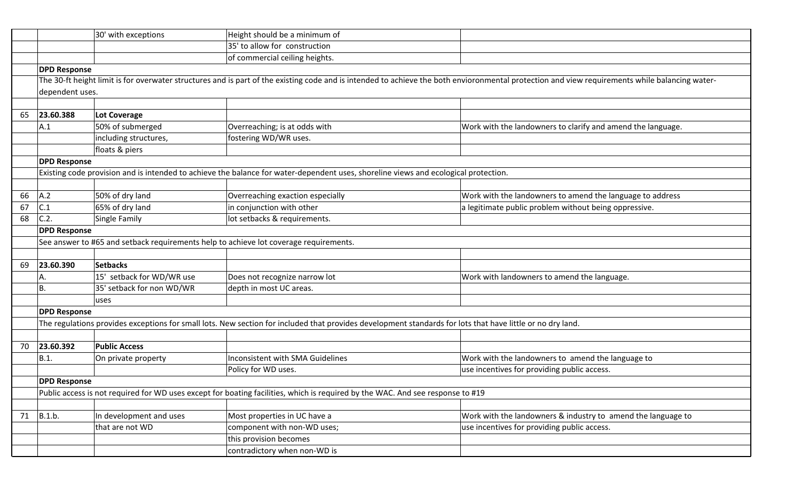|    |                     | 30' with exceptions       | Height should be a minimum of                                                                                                                              |                                                                                                                                                                                                |  |  |
|----|---------------------|---------------------------|------------------------------------------------------------------------------------------------------------------------------------------------------------|------------------------------------------------------------------------------------------------------------------------------------------------------------------------------------------------|--|--|
|    |                     |                           | 35' to allow for construction                                                                                                                              |                                                                                                                                                                                                |  |  |
|    |                     |                           | of commercial ceiling heights.                                                                                                                             |                                                                                                                                                                                                |  |  |
|    | <b>DPD Response</b> |                           |                                                                                                                                                            |                                                                                                                                                                                                |  |  |
|    |                     |                           |                                                                                                                                                            | The 30-ft height limit is for overwater structures and is part of the existing code and is intended to achieve the both envioronmental protection and view requirements while balancing water- |  |  |
|    | dependent uses.     |                           |                                                                                                                                                            |                                                                                                                                                                                                |  |  |
|    |                     |                           |                                                                                                                                                            |                                                                                                                                                                                                |  |  |
| 65 | 23.60.388           | Lot Coverage              |                                                                                                                                                            |                                                                                                                                                                                                |  |  |
|    | A.1                 | 50% of submerged          | Overreaching; is at odds with                                                                                                                              | Work with the landowners to clarify and amend the language.                                                                                                                                    |  |  |
|    |                     | including structures,     | fostering WD/WR uses.                                                                                                                                      |                                                                                                                                                                                                |  |  |
|    |                     | floats & piers            |                                                                                                                                                            |                                                                                                                                                                                                |  |  |
|    | <b>DPD Response</b> |                           |                                                                                                                                                            |                                                                                                                                                                                                |  |  |
|    |                     |                           | Existing code provision and is intended to achieve the balance for water-dependent uses, shoreline views and ecological protection.                        |                                                                                                                                                                                                |  |  |
|    |                     |                           |                                                                                                                                                            |                                                                                                                                                                                                |  |  |
| 66 | A.2                 | 50% of dry land           | Overreaching exaction especially                                                                                                                           | Work with the landowners to amend the language to address                                                                                                                                      |  |  |
| 67 | C.1                 | 65% of dry land           | in conjunction with other                                                                                                                                  | a legitimate public problem without being oppressive.                                                                                                                                          |  |  |
| 68 | C.2.                | Single Family             | lot setbacks & requirements.                                                                                                                               |                                                                                                                                                                                                |  |  |
|    | <b>DPD Response</b> |                           |                                                                                                                                                            |                                                                                                                                                                                                |  |  |
|    |                     |                           | See answer to #65 and setback requirements help to achieve lot coverage requirements.                                                                      |                                                                                                                                                                                                |  |  |
|    |                     |                           |                                                                                                                                                            |                                                                                                                                                                                                |  |  |
| 69 | 23.60.390           | <b>Setbacks</b>           |                                                                                                                                                            |                                                                                                                                                                                                |  |  |
|    | А.                  | 15' setback for WD/WR use | Does not recognize narrow lot                                                                                                                              | Work with landowners to amend the language.                                                                                                                                                    |  |  |
|    | <b>B.</b>           | 35' setback for non WD/WR | depth in most UC areas.                                                                                                                                    |                                                                                                                                                                                                |  |  |
|    |                     | luses                     |                                                                                                                                                            |                                                                                                                                                                                                |  |  |
|    | <b>DPD Response</b> |                           |                                                                                                                                                            |                                                                                                                                                                                                |  |  |
|    |                     |                           | The regulations provides exceptions for small lots. New section for included that provides development standards for lots that have little or no dry land. |                                                                                                                                                                                                |  |  |
|    |                     |                           |                                                                                                                                                            |                                                                                                                                                                                                |  |  |
| 70 | 23.60.392           | <b>Public Access</b>      |                                                                                                                                                            |                                                                                                                                                                                                |  |  |
|    | B.1.                | On private property       | Inconsistent with SMA Guidelines                                                                                                                           | Work with the landowners to amend the language to                                                                                                                                              |  |  |
|    |                     |                           | Policy for WD uses.                                                                                                                                        | use incentives for providing public access.                                                                                                                                                    |  |  |
|    | <b>DPD Response</b> |                           |                                                                                                                                                            |                                                                                                                                                                                                |  |  |
|    |                     |                           | Public access is not required for WD uses except for boating facilities, which is required by the WAC. And see response to #19                             |                                                                                                                                                                                                |  |  |
|    |                     |                           |                                                                                                                                                            |                                                                                                                                                                                                |  |  |
| 71 | B.1.b.              | In development and uses   | Most properties in UC have a                                                                                                                               | Work with the landowners & industry to amend the language to                                                                                                                                   |  |  |
|    |                     | that are not WD           | component with non-WD uses;                                                                                                                                | use incentives for providing public access.                                                                                                                                                    |  |  |
|    |                     |                           | this provision becomes                                                                                                                                     |                                                                                                                                                                                                |  |  |
|    |                     |                           | contradictory when non-WD is                                                                                                                               |                                                                                                                                                                                                |  |  |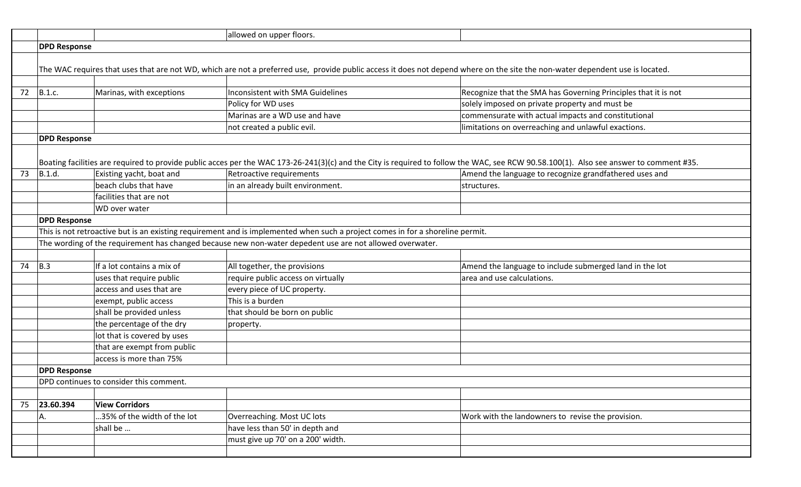|    |                                                                                                          |                                         | allowed on upper floors.                                                                                                                                                      |                                                                                                                                                                                        |  |
|----|----------------------------------------------------------------------------------------------------------|-----------------------------------------|-------------------------------------------------------------------------------------------------------------------------------------------------------------------------------|----------------------------------------------------------------------------------------------------------------------------------------------------------------------------------------|--|
|    | <b>DPD Response</b>                                                                                      |                                         |                                                                                                                                                                               |                                                                                                                                                                                        |  |
|    |                                                                                                          |                                         |                                                                                                                                                                               |                                                                                                                                                                                        |  |
|    |                                                                                                          |                                         | The WAC requires that uses that are not WD, which are not a preferred use, provide public access it does not depend where on the site the non-water dependent use is located. |                                                                                                                                                                                        |  |
|    |                                                                                                          |                                         |                                                                                                                                                                               |                                                                                                                                                                                        |  |
| 72 | B.1.c.                                                                                                   | Marinas, with exceptions                | Inconsistent with SMA Guidelines                                                                                                                                              | Recognize that the SMA has Governing Principles that it is not                                                                                                                         |  |
|    |                                                                                                          |                                         | Policy for WD uses                                                                                                                                                            | solely imposed on private property and must be                                                                                                                                         |  |
|    |                                                                                                          |                                         | Marinas are a WD use and have                                                                                                                                                 | commensurate with actual impacts and constitutional                                                                                                                                    |  |
|    |                                                                                                          |                                         | not created a public evil.                                                                                                                                                    | limitations on overreaching and unlawful exactions.                                                                                                                                    |  |
|    | <b>DPD Response</b>                                                                                      |                                         |                                                                                                                                                                               |                                                                                                                                                                                        |  |
|    |                                                                                                          |                                         |                                                                                                                                                                               |                                                                                                                                                                                        |  |
|    |                                                                                                          |                                         |                                                                                                                                                                               | Boating facilities are required to provide public acces per the WAC 173-26-241(3)(c) and the City is required to follow the WAC, see RCW 90.58.100(1). Also see answer to comment #35. |  |
| 73 | B.1.d.                                                                                                   | Existing yacht, boat and                | Retroactive requirements                                                                                                                                                      | Amend the language to recognize grandfathered uses and                                                                                                                                 |  |
|    |                                                                                                          | beach clubs that have                   | in an already built environment.                                                                                                                                              | structures.                                                                                                                                                                            |  |
|    |                                                                                                          | facilities that are not                 |                                                                                                                                                                               |                                                                                                                                                                                        |  |
|    |                                                                                                          | WD over water                           |                                                                                                                                                                               |                                                                                                                                                                                        |  |
|    | <b>DPD Response</b>                                                                                      |                                         |                                                                                                                                                                               |                                                                                                                                                                                        |  |
|    |                                                                                                          |                                         | This is not retroactive but is an existing requirement and is implemented when such a project comes in for a shoreline permit.                                                |                                                                                                                                                                                        |  |
|    | The wording of the requirement has changed because new non-water depedent use are not allowed overwater. |                                         |                                                                                                                                                                               |                                                                                                                                                                                        |  |
|    |                                                                                                          |                                         |                                                                                                                                                                               |                                                                                                                                                                                        |  |
| 74 | B.3                                                                                                      | If a lot contains a mix of              | All together, the provisions                                                                                                                                                  | Amend the language to include submerged land in the lot                                                                                                                                |  |
|    |                                                                                                          | uses that require public                | require public access on virtually                                                                                                                                            | area and use calculations.                                                                                                                                                             |  |
|    |                                                                                                          | access and uses that are                | every piece of UC property.                                                                                                                                                   |                                                                                                                                                                                        |  |
|    |                                                                                                          | exempt, public access                   | This is a burden                                                                                                                                                              |                                                                                                                                                                                        |  |
|    |                                                                                                          | shall be provided unless                | that should be born on public                                                                                                                                                 |                                                                                                                                                                                        |  |
|    |                                                                                                          | the percentage of the dry               | property.                                                                                                                                                                     |                                                                                                                                                                                        |  |
|    |                                                                                                          | lot that is covered by uses             |                                                                                                                                                                               |                                                                                                                                                                                        |  |
|    |                                                                                                          | that are exempt from public             |                                                                                                                                                                               |                                                                                                                                                                                        |  |
|    |                                                                                                          | access is more than 75%                 |                                                                                                                                                                               |                                                                                                                                                                                        |  |
|    | <b>DPD Response</b>                                                                                      |                                         |                                                                                                                                                                               |                                                                                                                                                                                        |  |
|    |                                                                                                          | DPD continues to consider this comment. |                                                                                                                                                                               |                                                                                                                                                                                        |  |
|    |                                                                                                          |                                         |                                                                                                                                                                               |                                                                                                                                                                                        |  |
| 75 | 23.60.394                                                                                                | <b>View Corridors</b>                   |                                                                                                                                                                               |                                                                                                                                                                                        |  |
|    | А.                                                                                                       | 35% of the width of the lot             | Overreaching. Most UC lots                                                                                                                                                    | Work with the landowners to revise the provision.                                                                                                                                      |  |
|    |                                                                                                          | shall be                                | have less than 50' in depth and                                                                                                                                               |                                                                                                                                                                                        |  |
|    |                                                                                                          |                                         | must give up 70' on a 200' width.                                                                                                                                             |                                                                                                                                                                                        |  |
|    |                                                                                                          |                                         |                                                                                                                                                                               |                                                                                                                                                                                        |  |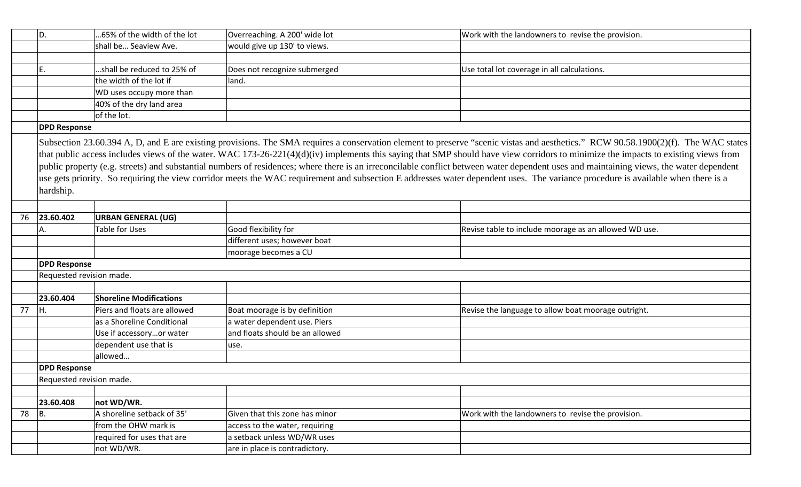|    | D.                       | .65% of the width of the lot   | Overreaching. A 200' wide lot   | Work with the landowners to revise the provision.                                                                                                                                                                                                                                                                                                                                                                                                                                                                                                                                                                                                                                                                                                       |
|----|--------------------------|--------------------------------|---------------------------------|---------------------------------------------------------------------------------------------------------------------------------------------------------------------------------------------------------------------------------------------------------------------------------------------------------------------------------------------------------------------------------------------------------------------------------------------------------------------------------------------------------------------------------------------------------------------------------------------------------------------------------------------------------------------------------------------------------------------------------------------------------|
|    |                          | shall be Seaview Ave.          | would give up 130' to views.    |                                                                                                                                                                                                                                                                                                                                                                                                                                                                                                                                                                                                                                                                                                                                                         |
|    |                          |                                |                                 |                                                                                                                                                                                                                                                                                                                                                                                                                                                                                                                                                                                                                                                                                                                                                         |
|    | Ε.                       | shall be reduced to 25% of     | Does not recognize submerged    | Use total lot coverage in all calculations.                                                                                                                                                                                                                                                                                                                                                                                                                                                                                                                                                                                                                                                                                                             |
|    |                          | the width of the lot if        | land.                           |                                                                                                                                                                                                                                                                                                                                                                                                                                                                                                                                                                                                                                                                                                                                                         |
|    |                          | WD uses occupy more than       |                                 |                                                                                                                                                                                                                                                                                                                                                                                                                                                                                                                                                                                                                                                                                                                                                         |
|    |                          | 40% of the dry land area       |                                 |                                                                                                                                                                                                                                                                                                                                                                                                                                                                                                                                                                                                                                                                                                                                                         |
|    |                          | of the lot.                    |                                 |                                                                                                                                                                                                                                                                                                                                                                                                                                                                                                                                                                                                                                                                                                                                                         |
|    | <b>DPD Response</b>      |                                |                                 |                                                                                                                                                                                                                                                                                                                                                                                                                                                                                                                                                                                                                                                                                                                                                         |
|    | hardship.                |                                |                                 | Subsection 23.60.394 A, D, and E are existing provisions. The SMA requires a conservation element to preserve "scenic vistas and aesthetics." RCW 90.58.1900(2)(f). The WAC states<br>that public access includes views of the water. WAC 173-26-221(4)(d)(iv) implements this saying that SMP should have view corridors to minimize the impacts to existing views from<br>public property (e.g. streets) and substantial numbers of residences; where there is an irreconcilable conflict between water dependent uses and maintaining views, the water dependent<br>use gets priority. So requiring the view corridor meets the WAC requirement and subsection E addresses water dependent uses. The variance procedure is available when there is a |
|    |                          |                                |                                 |                                                                                                                                                                                                                                                                                                                                                                                                                                                                                                                                                                                                                                                                                                                                                         |
| 76 | 23.60.402                | <b>URBAN GENERAL (UG)</b>      |                                 |                                                                                                                                                                                                                                                                                                                                                                                                                                                                                                                                                                                                                                                                                                                                                         |
|    | Α.                       | Table for Uses                 | Good flexibility for            | Revise table to include moorage as an allowed WD use.                                                                                                                                                                                                                                                                                                                                                                                                                                                                                                                                                                                                                                                                                                   |
|    |                          |                                | different uses; however boat    |                                                                                                                                                                                                                                                                                                                                                                                                                                                                                                                                                                                                                                                                                                                                                         |
|    |                          |                                | moorage becomes a CU            |                                                                                                                                                                                                                                                                                                                                                                                                                                                                                                                                                                                                                                                                                                                                                         |
|    | <b>DPD Response</b>      |                                |                                 |                                                                                                                                                                                                                                                                                                                                                                                                                                                                                                                                                                                                                                                                                                                                                         |
|    | Requested revision made. |                                |                                 |                                                                                                                                                                                                                                                                                                                                                                                                                                                                                                                                                                                                                                                                                                                                                         |
|    |                          |                                |                                 |                                                                                                                                                                                                                                                                                                                                                                                                                                                                                                                                                                                                                                                                                                                                                         |
|    | 23.60.404                | <b>Shoreline Modifications</b> |                                 |                                                                                                                                                                                                                                                                                                                                                                                                                                                                                                                                                                                                                                                                                                                                                         |
| 77 | Iн.                      | Piers and floats are allowed   | Boat moorage is by definition   | Revise the language to allow boat moorage outright.                                                                                                                                                                                                                                                                                                                                                                                                                                                                                                                                                                                                                                                                                                     |
|    |                          | as a Shoreline Conditional     | a water dependent use. Piers    |                                                                                                                                                                                                                                                                                                                                                                                                                                                                                                                                                                                                                                                                                                                                                         |
|    |                          | Use if accessoryor water       | and floats should be an allowed |                                                                                                                                                                                                                                                                                                                                                                                                                                                                                                                                                                                                                                                                                                                                                         |
|    |                          | dependent use that is          | use.                            |                                                                                                                                                                                                                                                                                                                                                                                                                                                                                                                                                                                                                                                                                                                                                         |
|    |                          | allowed                        |                                 |                                                                                                                                                                                                                                                                                                                                                                                                                                                                                                                                                                                                                                                                                                                                                         |
|    | <b>DPD Response</b>      |                                |                                 |                                                                                                                                                                                                                                                                                                                                                                                                                                                                                                                                                                                                                                                                                                                                                         |
|    | Requested revision made. |                                |                                 |                                                                                                                                                                                                                                                                                                                                                                                                                                                                                                                                                                                                                                                                                                                                                         |
|    |                          |                                |                                 |                                                                                                                                                                                                                                                                                                                                                                                                                                                                                                                                                                                                                                                                                                                                                         |
|    | 23.60.408                | not WD/WR.                     |                                 |                                                                                                                                                                                                                                                                                                                                                                                                                                                                                                                                                                                                                                                                                                                                                         |
| 78 | B.                       | A shoreline setback of 35'     | Given that this zone has minor  | Work with the landowners to revise the provision.                                                                                                                                                                                                                                                                                                                                                                                                                                                                                                                                                                                                                                                                                                       |
|    |                          | from the OHW mark is           | access to the water, requiring  |                                                                                                                                                                                                                                                                                                                                                                                                                                                                                                                                                                                                                                                                                                                                                         |
|    |                          | required for uses that are     | a setback unless WD/WR uses     |                                                                                                                                                                                                                                                                                                                                                                                                                                                                                                                                                                                                                                                                                                                                                         |
|    |                          | not WD/WR.                     | are in place is contradictory.  |                                                                                                                                                                                                                                                                                                                                                                                                                                                                                                                                                                                                                                                                                                                                                         |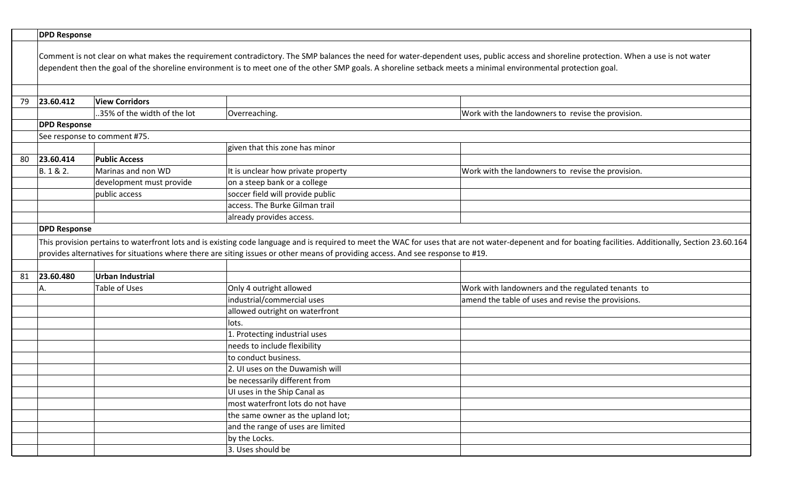|    | <b>DPD Response</b>                                                                                                                                                                                                                                                                                                                                     |                              |                                                                                                                                 |                                                                                                                                                                                                           |
|----|---------------------------------------------------------------------------------------------------------------------------------------------------------------------------------------------------------------------------------------------------------------------------------------------------------------------------------------------------------|------------------------------|---------------------------------------------------------------------------------------------------------------------------------|-----------------------------------------------------------------------------------------------------------------------------------------------------------------------------------------------------------|
|    | Comment is not clear on what makes the requirement contradictory. The SMP balances the need for water-dependent uses, public access and shoreline protection. When a use is not water<br>dependent then the goal of the shoreline environment is to meet one of the other SMP goals. A shoreline setback meets a minimal environmental protection goal. |                              |                                                                                                                                 |                                                                                                                                                                                                           |
|    |                                                                                                                                                                                                                                                                                                                                                         |                              |                                                                                                                                 |                                                                                                                                                                                                           |
| 79 | 23.60.412                                                                                                                                                                                                                                                                                                                                               | <b>View Corridors</b>        |                                                                                                                                 |                                                                                                                                                                                                           |
|    |                                                                                                                                                                                                                                                                                                                                                         | .35% of the width of the lot | Overreaching.                                                                                                                   | Work with the landowners to revise the provision.                                                                                                                                                         |
|    | <b>DPD Response</b>                                                                                                                                                                                                                                                                                                                                     |                              |                                                                                                                                 |                                                                                                                                                                                                           |
|    |                                                                                                                                                                                                                                                                                                                                                         | See response to comment #75. |                                                                                                                                 |                                                                                                                                                                                                           |
|    |                                                                                                                                                                                                                                                                                                                                                         |                              | given that this zone has minor                                                                                                  |                                                                                                                                                                                                           |
| 80 | 23.60.414                                                                                                                                                                                                                                                                                                                                               | <b>Public Access</b>         |                                                                                                                                 |                                                                                                                                                                                                           |
|    | B. 1 & 2.                                                                                                                                                                                                                                                                                                                                               | Marinas and non WD           | It is unclear how private property                                                                                              | Work with the landowners to revise the provision.                                                                                                                                                         |
|    |                                                                                                                                                                                                                                                                                                                                                         | development must provide     | on a steep bank or a college                                                                                                    |                                                                                                                                                                                                           |
|    |                                                                                                                                                                                                                                                                                                                                                         | public access                | soccer field will provide public                                                                                                |                                                                                                                                                                                                           |
|    |                                                                                                                                                                                                                                                                                                                                                         |                              | access. The Burke Gilman trail                                                                                                  |                                                                                                                                                                                                           |
|    |                                                                                                                                                                                                                                                                                                                                                         |                              | already provides access.                                                                                                        |                                                                                                                                                                                                           |
|    | <b>DPD Response</b>                                                                                                                                                                                                                                                                                                                                     |                              |                                                                                                                                 |                                                                                                                                                                                                           |
|    |                                                                                                                                                                                                                                                                                                                                                         |                              |                                                                                                                                 | This provision pertains to waterfront lots and is existing code language and is required to meet the WAC for uses that are not water-depenent and for boating facilities. Additionally, Section 23.60.164 |
|    |                                                                                                                                                                                                                                                                                                                                                         |                              | provides alternatives for situations where there are siting issues or other means of providing access. And see response to #19. |                                                                                                                                                                                                           |
|    |                                                                                                                                                                                                                                                                                                                                                         |                              |                                                                                                                                 |                                                                                                                                                                                                           |
| 81 | 23.60.480                                                                                                                                                                                                                                                                                                                                               | <b>Urban Industrial</b>      |                                                                                                                                 |                                                                                                                                                                                                           |
|    | А.                                                                                                                                                                                                                                                                                                                                                      | Table of Uses                | Only 4 outright allowed                                                                                                         | Work with landowners and the regulated tenants to                                                                                                                                                         |
|    |                                                                                                                                                                                                                                                                                                                                                         |                              | industrial/commercial uses                                                                                                      | amend the table of uses and revise the provisions.                                                                                                                                                        |
|    |                                                                                                                                                                                                                                                                                                                                                         |                              | allowed outright on waterfront                                                                                                  |                                                                                                                                                                                                           |
|    |                                                                                                                                                                                                                                                                                                                                                         |                              | lots.                                                                                                                           |                                                                                                                                                                                                           |
|    |                                                                                                                                                                                                                                                                                                                                                         |                              | 1. Protecting industrial uses                                                                                                   |                                                                                                                                                                                                           |
|    |                                                                                                                                                                                                                                                                                                                                                         |                              | needs to include flexibility                                                                                                    |                                                                                                                                                                                                           |
|    |                                                                                                                                                                                                                                                                                                                                                         |                              | to conduct business.                                                                                                            |                                                                                                                                                                                                           |
|    |                                                                                                                                                                                                                                                                                                                                                         |                              | 2. UI uses on the Duwamish will                                                                                                 |                                                                                                                                                                                                           |
|    |                                                                                                                                                                                                                                                                                                                                                         |                              | be necessarily different from                                                                                                   |                                                                                                                                                                                                           |
|    |                                                                                                                                                                                                                                                                                                                                                         |                              | UI uses in the Ship Canal as                                                                                                    |                                                                                                                                                                                                           |
|    |                                                                                                                                                                                                                                                                                                                                                         |                              | most waterfront lots do not have                                                                                                |                                                                                                                                                                                                           |
|    |                                                                                                                                                                                                                                                                                                                                                         |                              | the same owner as the upland lot;                                                                                               |                                                                                                                                                                                                           |
|    |                                                                                                                                                                                                                                                                                                                                                         |                              | and the range of uses are limited                                                                                               |                                                                                                                                                                                                           |
|    |                                                                                                                                                                                                                                                                                                                                                         |                              | by the Locks.                                                                                                                   |                                                                                                                                                                                                           |
|    |                                                                                                                                                                                                                                                                                                                                                         |                              | 3. Uses should be                                                                                                               |                                                                                                                                                                                                           |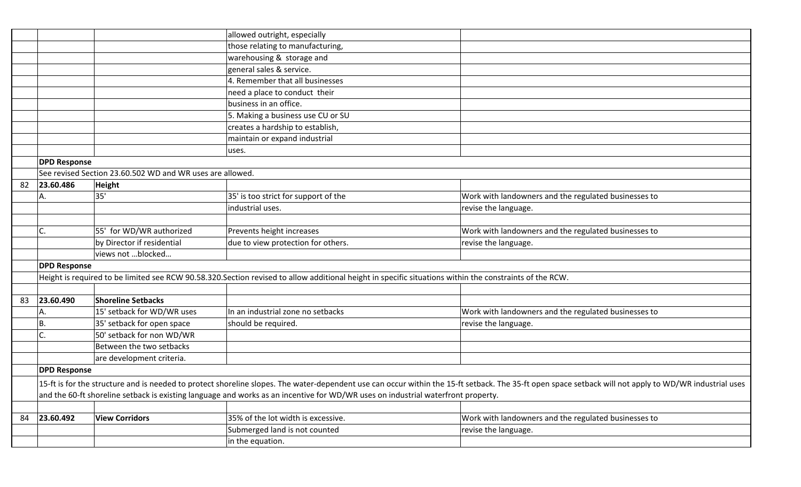|    |                     |                                                           | allowed outright, especially                                                                                                                            |                                                                                                                                                                                                        |
|----|---------------------|-----------------------------------------------------------|---------------------------------------------------------------------------------------------------------------------------------------------------------|--------------------------------------------------------------------------------------------------------------------------------------------------------------------------------------------------------|
|    |                     |                                                           | those relating to manufacturing,                                                                                                                        |                                                                                                                                                                                                        |
|    |                     |                                                           | warehousing & storage and                                                                                                                               |                                                                                                                                                                                                        |
|    |                     |                                                           | general sales & service.                                                                                                                                |                                                                                                                                                                                                        |
|    |                     |                                                           | 4. Remember that all businesses                                                                                                                         |                                                                                                                                                                                                        |
|    |                     |                                                           | need a place to conduct their                                                                                                                           |                                                                                                                                                                                                        |
|    |                     |                                                           | business in an office.                                                                                                                                  |                                                                                                                                                                                                        |
|    |                     |                                                           | 5. Making a business use CU or SU                                                                                                                       |                                                                                                                                                                                                        |
|    |                     |                                                           | creates a hardship to establish,                                                                                                                        |                                                                                                                                                                                                        |
|    |                     |                                                           | maintain or expand industrial                                                                                                                           |                                                                                                                                                                                                        |
|    |                     |                                                           | uses.                                                                                                                                                   |                                                                                                                                                                                                        |
|    | <b>DPD Response</b> |                                                           |                                                                                                                                                         |                                                                                                                                                                                                        |
|    |                     | See revised Section 23.60.502 WD and WR uses are allowed. |                                                                                                                                                         |                                                                                                                                                                                                        |
| 82 | 23.60.486           | <b>Height</b>                                             |                                                                                                                                                         |                                                                                                                                                                                                        |
|    | А.                  | 35'                                                       | 35' is too strict for support of the                                                                                                                    | Work with landowners and the regulated businesses to                                                                                                                                                   |
|    |                     |                                                           | industrial uses.                                                                                                                                        | revise the language.                                                                                                                                                                                   |
|    |                     |                                                           |                                                                                                                                                         |                                                                                                                                                                                                        |
|    | C.                  | 55' for WD/WR authorized                                  | Prevents height increases                                                                                                                               | Work with landowners and the regulated businesses to                                                                                                                                                   |
|    |                     | by Director if residential                                | due to view protection for others.                                                                                                                      | revise the language.                                                                                                                                                                                   |
|    |                     | views not blocked                                         |                                                                                                                                                         |                                                                                                                                                                                                        |
|    | <b>DPD Response</b> |                                                           |                                                                                                                                                         |                                                                                                                                                                                                        |
|    |                     |                                                           | Height is required to be limited see RCW 90.58.320.Section revised to allow additional height in specific situations within the constraints of the RCW. |                                                                                                                                                                                                        |
|    |                     |                                                           |                                                                                                                                                         |                                                                                                                                                                                                        |
| 83 | 23.60.490           | <b>Shoreline Setbacks</b>                                 |                                                                                                                                                         |                                                                                                                                                                                                        |
|    | А.                  | 15' setback for WD/WR uses                                | In an industrial zone no setbacks                                                                                                                       | Work with landowners and the regulated businesses to                                                                                                                                                   |
|    | Β.                  | 35' setback for open space                                | should be required.                                                                                                                                     | revise the language.                                                                                                                                                                                   |
|    | C                   | 50' setback for non WD/WR                                 |                                                                                                                                                         |                                                                                                                                                                                                        |
|    |                     | Between the two setbacks                                  |                                                                                                                                                         |                                                                                                                                                                                                        |
|    |                     | are development criteria.                                 |                                                                                                                                                         |                                                                                                                                                                                                        |
|    | <b>DPD Response</b> |                                                           |                                                                                                                                                         |                                                                                                                                                                                                        |
|    |                     |                                                           |                                                                                                                                                         | 15-ft is for the structure and is needed to protect shoreline slopes. The water-dependent use can occur within the 15-ft setback. The 35-ft open space setback will not apply to WD/WR industrial uses |
|    |                     |                                                           | and the 60-ft shoreline setback is existing language and works as an incentive for WD/WR uses on industrial waterfront property.                        |                                                                                                                                                                                                        |
|    |                     |                                                           |                                                                                                                                                         |                                                                                                                                                                                                        |
| 84 | 23.60.492           | <b>View Corridors</b>                                     | 35% of the lot width is excessive.                                                                                                                      | Work with landowners and the regulated businesses to                                                                                                                                                   |
|    |                     |                                                           | Submerged land is not counted                                                                                                                           | revise the language.                                                                                                                                                                                   |
|    |                     |                                                           | in the equation.                                                                                                                                        |                                                                                                                                                                                                        |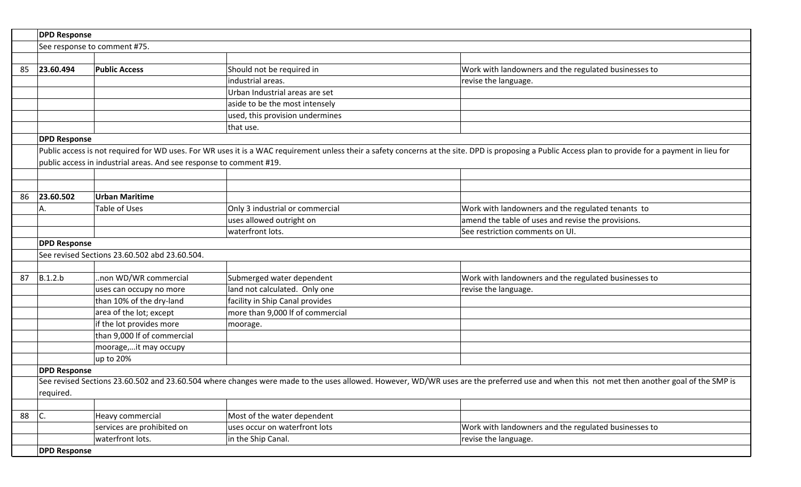|    | <b>DPD Response</b>          |                                                                     |                                  |                                                                                                                                                                                                       |  |
|----|------------------------------|---------------------------------------------------------------------|----------------------------------|-------------------------------------------------------------------------------------------------------------------------------------------------------------------------------------------------------|--|
|    | See response to comment #75. |                                                                     |                                  |                                                                                                                                                                                                       |  |
|    |                              |                                                                     |                                  |                                                                                                                                                                                                       |  |
| 85 | 23.60.494                    | <b>Public Access</b>                                                | Should not be required in        | Work with landowners and the regulated businesses to                                                                                                                                                  |  |
|    |                              |                                                                     | industrial areas.                | revise the language.                                                                                                                                                                                  |  |
|    |                              |                                                                     | Urban Industrial areas are set   |                                                                                                                                                                                                       |  |
|    |                              |                                                                     | aside to be the most intensely   |                                                                                                                                                                                                       |  |
|    |                              |                                                                     | used, this provision undermines  |                                                                                                                                                                                                       |  |
|    |                              |                                                                     | that use.                        |                                                                                                                                                                                                       |  |
|    | <b>DPD Response</b>          |                                                                     |                                  |                                                                                                                                                                                                       |  |
|    |                              |                                                                     |                                  | Public access is not required for WD uses. For WR uses it is a WAC requirement unless their a safety concerns at the site. DPD is proposing a Public Access plan to provide for a payment in lieu for |  |
|    |                              | public access in industrial areas. And see response to comment #19. |                                  |                                                                                                                                                                                                       |  |
|    |                              |                                                                     |                                  |                                                                                                                                                                                                       |  |
|    |                              |                                                                     |                                  |                                                                                                                                                                                                       |  |
| 86 | 23.60.502                    | <b>Urban Maritime</b>                                               |                                  |                                                                                                                                                                                                       |  |
|    | А.                           | Table of Uses                                                       | Only 3 industrial or commercial  | Work with landowners and the regulated tenants to                                                                                                                                                     |  |
|    |                              |                                                                     | uses allowed outright on         | amend the table of uses and revise the provisions.                                                                                                                                                    |  |
|    |                              |                                                                     | waterfront lots.                 | See restriction comments on UI.                                                                                                                                                                       |  |
|    | <b>DPD Response</b>          |                                                                     |                                  |                                                                                                                                                                                                       |  |
|    |                              | See revised Sections 23.60.502 abd 23.60.504.                       |                                  |                                                                                                                                                                                                       |  |
|    |                              |                                                                     |                                  |                                                                                                                                                                                                       |  |
| 87 | B.1.2.b                      | .non WD/WR commercial                                               | Submerged water dependent        | Work with landowners and the regulated businesses to                                                                                                                                                  |  |
|    |                              | uses can occupy no more                                             | land not calculated. Only one    | revise the language.                                                                                                                                                                                  |  |
|    |                              | than 10% of the dry-land                                            | facility in Ship Canal provides  |                                                                                                                                                                                                       |  |
|    |                              | area of the lot; except                                             | more than 9,000 If of commercial |                                                                                                                                                                                                       |  |
|    |                              | if the lot provides more                                            | moorage.                         |                                                                                                                                                                                                       |  |
|    |                              | than 9,000 If of commercial                                         |                                  |                                                                                                                                                                                                       |  |
|    |                              | moorage,it may occupy                                               |                                  |                                                                                                                                                                                                       |  |
|    |                              | up to 20%                                                           |                                  |                                                                                                                                                                                                       |  |
|    | <b>DPD Response</b>          |                                                                     |                                  |                                                                                                                                                                                                       |  |
|    |                              |                                                                     |                                  | See revised Sections 23.60.502 and 23.60.504 where changes were made to the uses allowed. However, WD/WR uses are the preferred use and when this not met then another goal of the SMP is             |  |
|    | required.                    |                                                                     |                                  |                                                                                                                                                                                                       |  |
|    |                              |                                                                     |                                  |                                                                                                                                                                                                       |  |
| 88 | $\overline{\mathsf{C}}$ .    | Heavy commercial                                                    | Most of the water dependent      |                                                                                                                                                                                                       |  |
|    |                              | services are prohibited on                                          | uses occur on waterfront lots    | Work with landowners and the regulated businesses to                                                                                                                                                  |  |
|    |                              | waterfront lots.                                                    | in the Ship Canal.               | revise the language.                                                                                                                                                                                  |  |
|    | <b>DPD Response</b>          |                                                                     |                                  |                                                                                                                                                                                                       |  |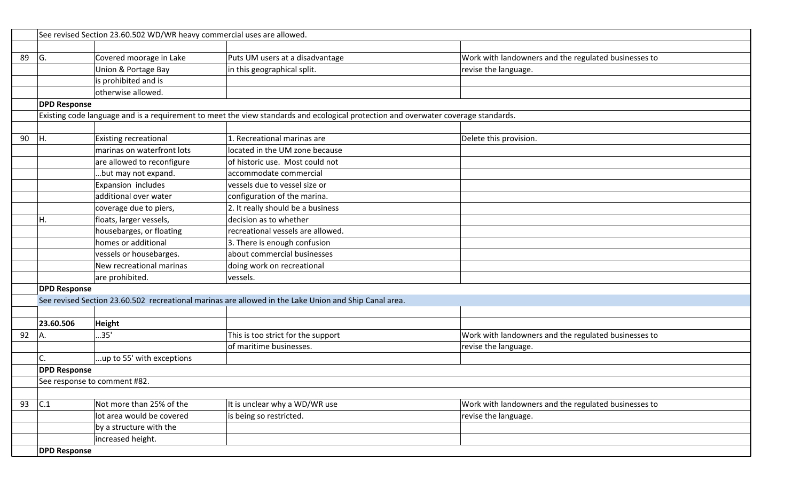|    | See revised Section 23.60.502 WD/WR heavy commercial uses are allowed. |                              |                                                                                                                                    |                                                      |  |
|----|------------------------------------------------------------------------|------------------------------|------------------------------------------------------------------------------------------------------------------------------------|------------------------------------------------------|--|
|    |                                                                        |                              |                                                                                                                                    |                                                      |  |
| 89 | IG.                                                                    | Covered moorage in Lake      | Puts UM users at a disadvantage                                                                                                    | Work with landowners and the regulated businesses to |  |
|    |                                                                        | Union & Portage Bay          | in this geographical split.                                                                                                        | revise the language.                                 |  |
|    |                                                                        | is prohibited and is         |                                                                                                                                    |                                                      |  |
|    |                                                                        | otherwise allowed.           |                                                                                                                                    |                                                      |  |
|    | <b>DPD Response</b>                                                    |                              |                                                                                                                                    |                                                      |  |
|    |                                                                        |                              | Existing code language and is a requirement to meet the view standards and ecological protection and overwater coverage standards. |                                                      |  |
|    |                                                                        |                              |                                                                                                                                    |                                                      |  |
| 90 | IH.                                                                    | <b>Existing recreational</b> | 1. Recreational marinas are                                                                                                        | Delete this provision.                               |  |
|    |                                                                        | marinas on waterfront lots   | located in the UM zone because                                                                                                     |                                                      |  |
|    |                                                                        | are allowed to reconfigure   | of historic use. Most could not                                                                                                    |                                                      |  |
|    |                                                                        | .but may not expand.         | accommodate commercial                                                                                                             |                                                      |  |
|    |                                                                        | Expansion includes           | vessels due to vessel size or                                                                                                      |                                                      |  |
|    |                                                                        | additional over water        | configuration of the marina.                                                                                                       |                                                      |  |
|    |                                                                        | coverage due to piers,       | 2. It really should be a business                                                                                                  |                                                      |  |
|    |                                                                        | floats, larger vessels,      | decision as to whether                                                                                                             |                                                      |  |
|    |                                                                        | housebarges, or floating     | recreational vessels are allowed.                                                                                                  |                                                      |  |
|    |                                                                        | homes or additional          | 3. There is enough confusion                                                                                                       |                                                      |  |
|    |                                                                        | vessels or housebarges.      | about commercial businesses                                                                                                        |                                                      |  |
|    |                                                                        | New recreational marinas     | doing work on recreational                                                                                                         |                                                      |  |
|    |                                                                        | are prohibited.              | vessels.                                                                                                                           |                                                      |  |
|    | <b>DPD Response</b>                                                    |                              |                                                                                                                                    |                                                      |  |
|    |                                                                        |                              | See revised Section 23.60.502 recreational marinas are allowed in the Lake Union and Ship Canal area.                              |                                                      |  |
|    |                                                                        |                              |                                                                                                                                    |                                                      |  |
|    | 23.60.506                                                              | Height                       |                                                                                                                                    |                                                      |  |
| 92 | Α.                                                                     | .35'                         | This is too strict for the support                                                                                                 | Work with landowners and the regulated businesses to |  |
|    |                                                                        |                              | of maritime businesses.                                                                                                            | revise the language.                                 |  |
|    |                                                                        | up to 55' with exceptions    |                                                                                                                                    |                                                      |  |
|    | <b>DPD Response</b>                                                    |                              |                                                                                                                                    |                                                      |  |
|    |                                                                        | See response to comment #82. |                                                                                                                                    |                                                      |  |
|    |                                                                        |                              |                                                                                                                                    |                                                      |  |
| 93 | C.1                                                                    | Not more than 25% of the     | It is unclear why a WD/WR use                                                                                                      | Work with landowners and the regulated businesses to |  |
|    |                                                                        | lot area would be covered    | is being so restricted.                                                                                                            | revise the language.                                 |  |
|    |                                                                        | by a structure with the      |                                                                                                                                    |                                                      |  |
|    |                                                                        | increased height.            |                                                                                                                                    |                                                      |  |
|    | <b>DPD Response</b>                                                    |                              |                                                                                                                                    |                                                      |  |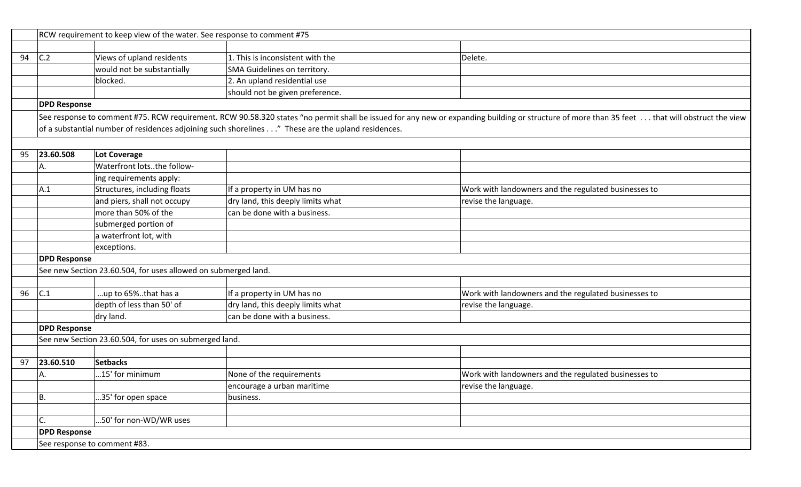|    | RCW requirement to keep view of the water. See response to comment #75 |                                                                |                                                                                                   |                                                                                                                                                                                                |
|----|------------------------------------------------------------------------|----------------------------------------------------------------|---------------------------------------------------------------------------------------------------|------------------------------------------------------------------------------------------------------------------------------------------------------------------------------------------------|
|    |                                                                        |                                                                |                                                                                                   |                                                                                                                                                                                                |
| 94 | C.2                                                                    | Views of upland residents                                      | 1. This is inconsistent with the                                                                  | Delete.                                                                                                                                                                                        |
|    |                                                                        | would not be substantially                                     | SMA Guidelines on territory.                                                                      |                                                                                                                                                                                                |
|    |                                                                        | blocked.                                                       | 2. An upland residential use                                                                      |                                                                                                                                                                                                |
|    |                                                                        |                                                                | should not be given preference.                                                                   |                                                                                                                                                                                                |
|    | <b>DPD Response</b>                                                    |                                                                |                                                                                                   |                                                                                                                                                                                                |
|    |                                                                        |                                                                |                                                                                                   | See response to comment #75. RCW requirement. RCW 90.58.320 states "no permit shall be issued for any new or expanding building or structure of more than 35 feet  that will obstruct the view |
|    |                                                                        |                                                                | of a substantial number of residences adjoining such shorelines" These are the upland residences. |                                                                                                                                                                                                |
|    |                                                                        |                                                                |                                                                                                   |                                                                                                                                                                                                |
| 95 | 23.60.508                                                              | <b>Lot Coverage</b>                                            |                                                                                                   |                                                                                                                                                                                                |
|    | А.                                                                     | Waterfront lotsthe follow-                                     |                                                                                                   |                                                                                                                                                                                                |
|    |                                                                        | ing requirements apply:                                        |                                                                                                   |                                                                                                                                                                                                |
|    | A.1                                                                    | Structures, including floats                                   | If a property in UM has no                                                                        | Work with landowners and the regulated businesses to                                                                                                                                           |
|    |                                                                        | and piers, shall not occupy                                    | dry land, this deeply limits what                                                                 | revise the language.                                                                                                                                                                           |
|    |                                                                        | more than 50% of the                                           | can be done with a business.                                                                      |                                                                                                                                                                                                |
|    |                                                                        | submerged portion of                                           |                                                                                                   |                                                                                                                                                                                                |
|    |                                                                        | a waterfront lot, with                                         |                                                                                                   |                                                                                                                                                                                                |
|    |                                                                        | exceptions.                                                    |                                                                                                   |                                                                                                                                                                                                |
|    | <b>DPD Response</b>                                                    |                                                                |                                                                                                   |                                                                                                                                                                                                |
|    |                                                                        | See new Section 23.60.504, for uses allowed on submerged land. |                                                                                                   |                                                                                                                                                                                                |
|    |                                                                        |                                                                |                                                                                                   |                                                                                                                                                                                                |
| 96 | C.1                                                                    | up to 65%that has a                                            | If a property in UM has no                                                                        | Work with landowners and the regulated businesses to                                                                                                                                           |
|    |                                                                        | depth of less than 50' of                                      | dry land, this deeply limits what                                                                 | revise the language.                                                                                                                                                                           |
|    |                                                                        | dry land.                                                      | can be done with a business.                                                                      |                                                                                                                                                                                                |
|    | <b>DPD Response</b>                                                    |                                                                |                                                                                                   |                                                                                                                                                                                                |
|    |                                                                        | See new Section 23.60.504, for uses on submerged land.         |                                                                                                   |                                                                                                                                                                                                |
|    |                                                                        |                                                                |                                                                                                   |                                                                                                                                                                                                |
| 97 | 23.60.510                                                              | <b>Setbacks</b>                                                |                                                                                                   |                                                                                                                                                                                                |
|    | А.                                                                     | 15' for minimum                                                | None of the requirements                                                                          | Work with landowners and the regulated businesses to                                                                                                                                           |
|    |                                                                        |                                                                | encourage a urban maritime                                                                        | revise the language.                                                                                                                                                                           |
|    | <b>B.</b>                                                              | 35' for open space                                             | business.                                                                                         |                                                                                                                                                                                                |
|    |                                                                        |                                                                |                                                                                                   |                                                                                                                                                                                                |
|    | C.                                                                     | 50' for non-WD/WR uses                                         |                                                                                                   |                                                                                                                                                                                                |
|    | <b>DPD Response</b>                                                    |                                                                |                                                                                                   |                                                                                                                                                                                                |
|    | See response to comment #83.                                           |                                                                |                                                                                                   |                                                                                                                                                                                                |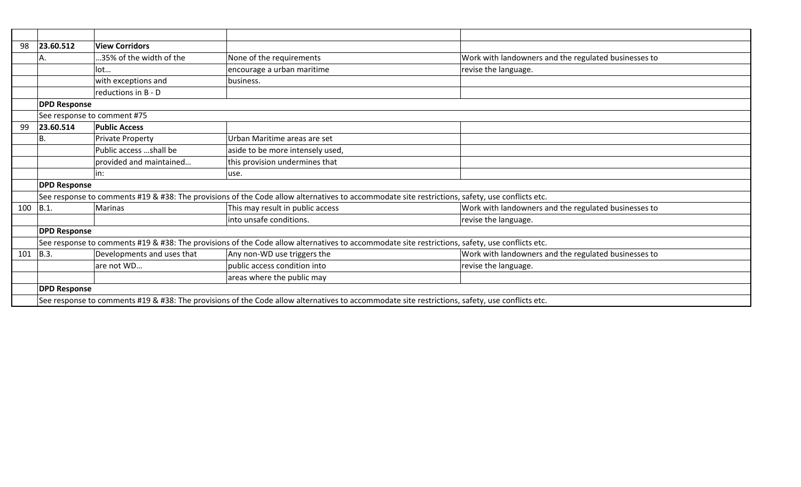| 98  | 23.60.512           | <b>View Corridors</b>       |                                                                                                                                                |                                                      |
|-----|---------------------|-----------------------------|------------------------------------------------------------------------------------------------------------------------------------------------|------------------------------------------------------|
|     | А.                  | 35% of the width of the     | None of the requirements                                                                                                                       | Work with landowners and the regulated businesses to |
|     |                     | lot                         | encourage a urban maritime                                                                                                                     | revise the language.                                 |
|     |                     | with exceptions and         | business.                                                                                                                                      |                                                      |
|     |                     | reductions in B - D         |                                                                                                                                                |                                                      |
|     | <b>DPD Response</b> |                             |                                                                                                                                                |                                                      |
|     |                     | See response to comment #75 |                                                                                                                                                |                                                      |
| 99  | 23.60.514           | <b>Public Access</b>        |                                                                                                                                                |                                                      |
|     | Β.                  | <b>Private Property</b>     | Urban Maritime areas are set                                                                                                                   |                                                      |
|     |                     | Public access shall be      | aside to be more intensely used,                                                                                                               |                                                      |
|     |                     | provided and maintained     | this provision undermines that                                                                                                                 |                                                      |
|     |                     | in:                         | use.                                                                                                                                           |                                                      |
|     | <b>DPD Response</b> |                             |                                                                                                                                                |                                                      |
|     |                     |                             | See response to comments #19 & #38: The provisions of the Code allow alternatives to accommodate site restrictions, safety, use conflicts etc. |                                                      |
| 100 | B.1.                | <b>Marinas</b>              | This may result in public access                                                                                                               | Work with landowners and the regulated businesses to |
|     |                     |                             | into unsafe conditions.                                                                                                                        | revise the language.                                 |
|     | <b>DPD Response</b> |                             |                                                                                                                                                |                                                      |
|     |                     |                             | See response to comments #19 & #38: The provisions of the Code allow alternatives to accommodate site restrictions, safety, use conflicts etc. |                                                      |
| 101 | B.3.                | Developments and uses that  | Any non-WD use triggers the                                                                                                                    | Work with landowners and the regulated businesses to |
|     |                     | are not WD                  | public access condition into                                                                                                                   | revise the language.                                 |
|     |                     |                             | areas where the public may                                                                                                                     |                                                      |
|     | <b>DPD Response</b> |                             |                                                                                                                                                |                                                      |
|     |                     |                             | See response to comments #19 & #38: The provisions of the Code allow alternatives to accommodate site restrictions, safety, use conflicts etc. |                                                      |